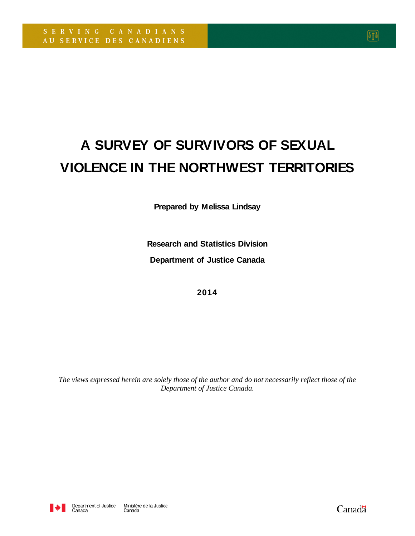# **A SURVEY OF SURVIVORS OF SEXUAL VIOLENCE IN THE NORTHWEST TERRITORIES**

**Prepared by Melissa Lindsay**

**Research and Statistics Division Department of Justice Canada**

**2014**

*The views expressed herein are solely those of the author and do not necessarily reflect those of the Department of Justice Canada.*



Canadä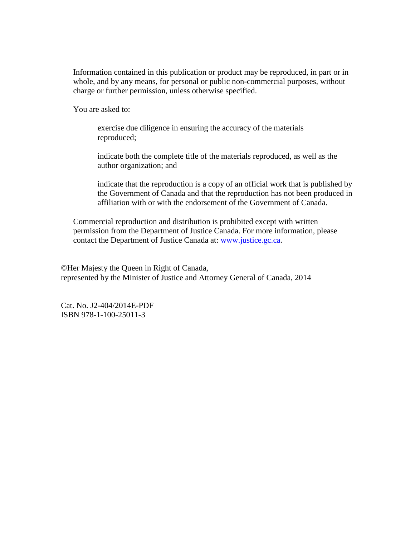Information contained in this publication or product may be reproduced, in part or in whole, and by any means, for personal or public non-commercial purposes, without charge or further permission, unless otherwise specified.

You are asked to:

exercise due diligence in ensuring the accuracy of the materials reproduced;

indicate both the complete title of the materials reproduced, as well as the author organization; and

indicate that the reproduction is a copy of an official work that is published by the Government of Canada and that the reproduction has not been produced in affiliation with or with the endorsement of the Government of Canada.

Commercial reproduction and distribution is prohibited except with written permission from the Department of Justice Canada. For more information, please contact the Department of Justice Canada at: [www.justice.gc.ca.](http://www.justice.gc.ca/)

©Her Majesty the Queen in Right of Canada, represented by the Minister of Justice and Attorney General of Canada, 2014

Cat. No. J2-404/2014E-PDF ISBN 978-1-100-25011-3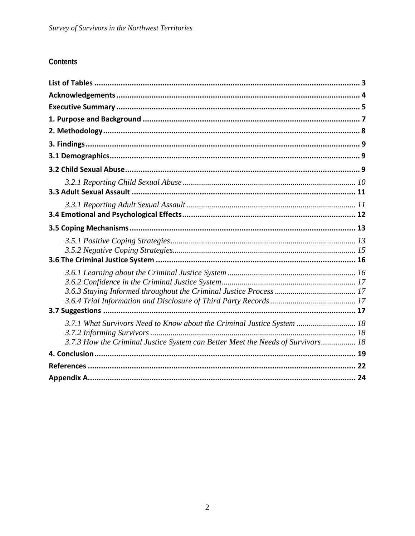# Contents

| 3.7.1 What Survivors Need to Know about the Criminal Justice System  18         |  |
|---------------------------------------------------------------------------------|--|
|                                                                                 |  |
| 3.7.3 How the Criminal Justice System can Better Meet the Needs of Survivors 18 |  |
|                                                                                 |  |
|                                                                                 |  |
|                                                                                 |  |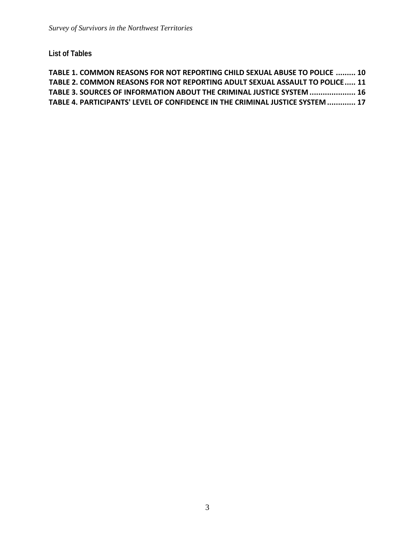**List of Tables**

```
TABLE 1. COMMON REASONS FOR NOT REPORTING CHILD SEXUAL ABUSE TO POLICE ......... 10
TABLE 2. COMMON REASONS FOR NOT REPORTING ADULT SEXUAL ASSAULT TO POLICE..... 11
TABLE 3. SOURCES OF INFORMATION ABOUT THE CRIMINAL JUSTICE SYSTEM ..................... 16
TABLE 4. PARTICIPANTS' LEVEL OF CONFIDENCE IN THE CRIMINAL JUSTICE SYSTEM............. 17
```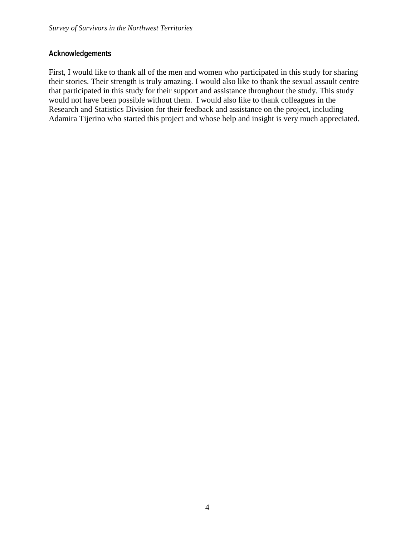## **Acknowledgements**

First, I would like to thank all of the men and women who participated in this study for sharing their stories. Their strength is truly amazing. I would also like to thank the sexual assault centre that participated in this study for their support and assistance throughout the study. This study would not have been possible without them. I would also like to thank colleagues in the Research and Statistics Division for their feedback and assistance on the project, including Adamira Tijerino who started this project and whose help and insight is very much appreciated.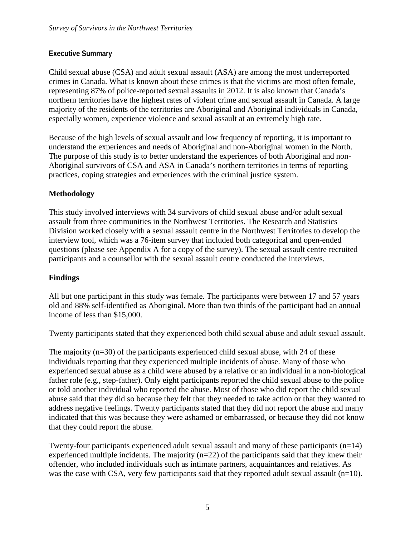## **Executive Summary**

Child sexual abuse (CSA) and adult sexual assault (ASA) are among the most underreported crimes in Canada. What is known about these crimes is that the victims are most often female, representing 87% of police-reported sexual assaults in 2012. It is also known that Canada's northern territories have the highest rates of violent crime and sexual assault in Canada. A large majority of the residents of the territories are Aboriginal and Aboriginal individuals in Canada, especially women, experience violence and sexual assault at an extremely high rate.

Because of the high levels of sexual assault and low frequency of reporting, it is important to understand the experiences and needs of Aboriginal and non-Aboriginal women in the North. The purpose of this study is to better understand the experiences of both Aboriginal and non-Aboriginal survivors of CSA and ASA in Canada's northern territories in terms of reporting practices, coping strategies and experiences with the criminal justice system.

## **Methodology**

This study involved interviews with 34 survivors of child sexual abuse and/or adult sexual assault from three communities in the Northwest Territories. The Research and Statistics Division worked closely with a sexual assault centre in the Northwest Territories to develop the interview tool, which was a 76-item survey that included both categorical and open-ended questions (please see Appendix A for a copy of the survey). The sexual assault centre recruited participants and a counsellor with the sexual assault centre conducted the interviews.

# **Findings**

All but one participant in this study was female. The participants were between 17 and 57 years old and 88% self-identified as Aboriginal. More than two thirds of the participant had an annual income of less than \$15,000.

Twenty participants stated that they experienced both child sexual abuse and adult sexual assault.

The majority  $(n=30)$  of the participants experienced child sexual abuse, with 24 of these individuals reporting that they experienced multiple incidents of abuse. Many of those who experienced sexual abuse as a child were abused by a relative or an individual in a non-biological father role (e.g., step-father). Only eight participants reported the child sexual abuse to the police or told another individual who reported the abuse. Most of those who did report the child sexual abuse said that they did so because they felt that they needed to take action or that they wanted to address negative feelings. Twenty participants stated that they did not report the abuse and many indicated that this was because they were ashamed or embarrassed, or because they did not know that they could report the abuse.

Twenty-four participants experienced adult sexual assault and many of these participants (n=14) experienced multiple incidents. The majority  $(n=22)$  of the participants said that they knew their offender, who included individuals such as intimate partners, acquaintances and relatives. As was the case with CSA, very few participants said that they reported adult sexual assault  $(n=10)$ .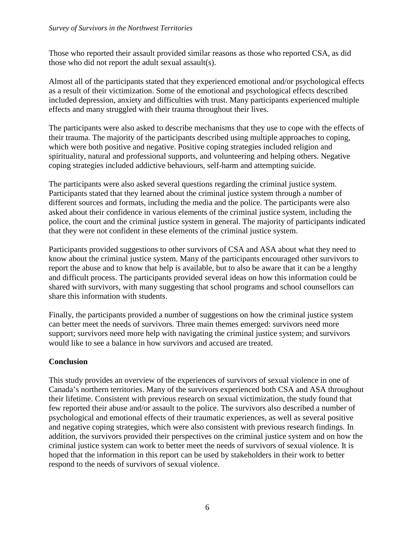Those who reported their assault provided similar reasons as those who reported CSA, as did those who did not report the adult sexual assault(s).

Almost all of the participants stated that they experienced emotional and/or psychological effects as a result of their victimization. Some of the emotional and psychological effects described included depression, anxiety and difficulties with trust. Many participants experienced multiple effects and many struggled with their trauma throughout their lives.

The participants were also asked to describe mechanisms that they use to cope with the effects of their trauma. The majority of the participants described using multiple approaches to coping, which were both positive and negative. Positive coping strategies included religion and spirituality, natural and professional supports, and volunteering and helping others. Negative coping strategies included addictive behaviours, self-harm and attempting suicide.

The participants were also asked several questions regarding the criminal justice system. Participants stated that they learned about the criminal justice system through a number of different sources and formats, including the media and the police. The participants were also asked about their confidence in various elements of the criminal justice system, including the police, the court and the criminal justice system in general. The majority of participants indicated that they were not confident in these elements of the criminal justice system.

Participants provided suggestions to other survivors of CSA and ASA about what they need to know about the criminal justice system. Many of the participants encouraged other survivors to report the abuse and to know that help is available, but to also be aware that it can be a lengthy and difficult process. The participants provided several ideas on how this information could be shared with survivors, with many suggesting that school programs and school counsellors can share this information with students.

Finally, the participants provided a number of suggestions on how the criminal justice system can better meet the needs of survivors. Three main themes emerged: survivors need more support; survivors need more help with navigating the criminal justice system; and survivors would like to see a balance in how survivors and accused are treated.

## **Conclusion**

This study provides an overview of the experiences of survivors of sexual violence in one of Canada's northern territories. Many of the survivors experienced both CSA and ASA throughout their lifetime. Consistent with previous research on sexual victimization, the study found that few reported their abuse and/or assault to the police. The survivors also described a number of psychological and emotional effects of their traumatic experiences, as well as several positive and negative coping strategies, which were also consistent with previous research findings. In addition, the survivors provided their perspectives on the criminal justice system and on how the criminal justice system can work to better meet the needs of survivors of sexual violence. It is hoped that the information in this report can be used by stakeholders in their work to better respond to the needs of survivors of sexual violence.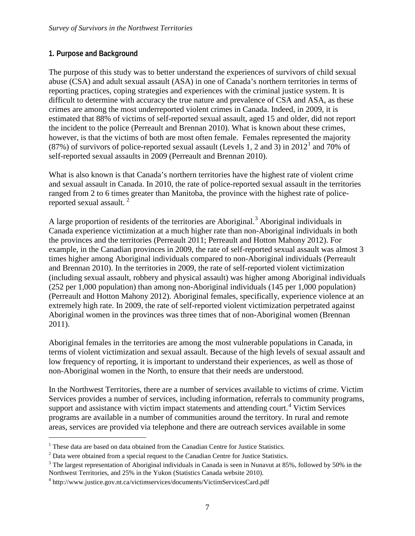#### **1. Purpose and Background**

The purpose of this study was to better understand the experiences of survivors of child sexual abuse (CSA) and adult sexual assault (ASA) in one of Canada's northern territories in terms of reporting practices, coping strategies and experiences with the criminal justice system. It is difficult to determine with accuracy the true nature and prevalence of CSA and ASA, as these crimes are among the most underreported violent crimes in Canada. Indeed, in 2009, it is estimated that 88% of victims of self-reported sexual assault, aged 15 and older, did not report the incident to the police (Perreault and Brennan 2010). What is known about these crimes, however, is that the victims of both are most often female. Females represented the majority (87%) of survivors of police-reported sexual assault (Levels [1](#page-7-0), 2 and 3) in  $2012<sup>1</sup>$  and 70% of self-reported sexual assaults in 2009 (Perreault and Brennan 2010).

What is also known is that Canada's northern territories have the highest rate of violent crime and sexual assault in Canada. In 2010, the rate of police-reported sexual assault in the territories ranged from 2 to 6 times greater than Manitoba, the province with the highest rate of police-reported sexual assault.<sup>[2](#page-7-1)</sup>

A large proportion of residents of the territories are Aboriginal.<sup>[3](#page-7-2)</sup> Aboriginal individuals in Canada experience victimization at a much higher rate than non-Aboriginal individuals in both the provinces and the territories (Perreault 2011; Perreault and Hotton Mahony 2012). For example, in the Canadian provinces in 2009, the rate of self-reported sexual assault was almost 3 times higher among Aboriginal individuals compared to non-Aboriginal individuals (Perreault and Brennan 2010). In the territories in 2009, the rate of self-reported violent victimization (including sexual assault, robbery and physical assault) was higher among Aboriginal individuals (252 per 1,000 population) than among non-Aboriginal individuals (145 per 1,000 population) (Perreault and Hotton Mahony 2012). Aboriginal females, specifically, experience violence at an extremely high rate. In 2009, the rate of self-reported violent victimization perpetrated against Aboriginal women in the provinces was three times that of non-Aboriginal women (Brennan 2011).

Aboriginal females in the territories are among the most vulnerable populations in Canada, in terms of violent victimization and sexual assault. Because of the high levels of sexual assault and low frequency of reporting, it is important to understand their experiences, as well as those of non-Aboriginal women in the North, to ensure that their needs are understood.

In the Northwest Territories, there are a number of services available to victims of crime. Victim Services provides a number of services, including information, referrals to community programs, support and assistance with victim impact statements and attending court.<sup>[4](#page-7-3)</sup> Victim Services programs are available in a number of communities around the territory. In rural and remote areas, services are provided via telephone and there are outreach services available in some

<span id="page-7-0"></span><sup>&</sup>lt;sup>1</sup> These data are based on data obtained from the Canadian Centre for Justice Statistics.

<span id="page-7-1"></span><sup>2</sup> Data were obtained from a special request to the Canadian Centre for Justice Statistics.

<span id="page-7-2"></span><sup>&</sup>lt;sup>3</sup> The largest representation of Aboriginal individuals in Canada is seen in Nunavut at 85%, followed by 50% in the Northwest Territories, and 25% in the Yukon (Statistics Canada website 2010).

<span id="page-7-3"></span> $4 \text{ http://www.justice.gov.int.ca/victimservices/documents/VictimServiceCard.pdf}$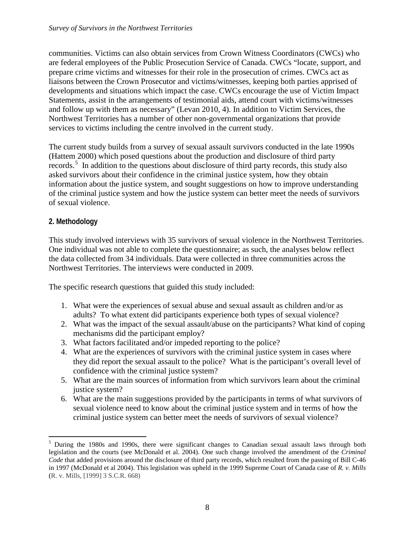communities. Victims can also obtain services from Crown Witness Coordinators (CWCs) who are federal employees of the Public Prosecution Service of Canada. CWCs "locate, support, and prepare crime victims and witnesses for their role in the prosecution of crimes. CWCs act as liaisons between the Crown Prosecutor and victims/witnesses, keeping both parties apprised of developments and situations which impact the case. CWCs encourage the use of Victim Impact Statements, assist in the arrangements of testimonial aids, attend court with victims/witnesses and follow up with them as necessary" (Levan 2010, 4). In addition to Victim Services, the Northwest Territories has a number of other non-governmental organizations that provide services to victims including the centre involved in the current study.

The current study builds from a survey of sexual assault survivors conducted in the late 1990s (Hattem 2000) which posed questions about the production and disclosure of third party records.<sup>[5](#page-8-0)</sup> In addition to the questions about disclosure of third party records, this study also asked survivors about their confidence in the criminal justice system, how they obtain information about the justice system, and sought suggestions on how to improve understanding of the criminal justice system and how the justice system can better meet the needs of survivors of sexual violence.

## **2. Methodology**

This study involved interviews with 35 survivors of sexual violence in the Northwest Territories. One individual was not able to complete the questionnaire; as such, the analyses below reflect the data collected from 34 individuals. Data were collected in three communities across the Northwest Territories. The interviews were conducted in 2009.

The specific research questions that guided this study included:

- 1. What were the experiences of sexual abuse and sexual assault as children and/or as adults? To what extent did participants experience both types of sexual violence?
- 2. What was the impact of the sexual assault/abuse on the participants? What kind of coping mechanisms did the participant employ?
- 3. What factors facilitated and/or impeded reporting to the police?
- 4. What are the experiences of survivors with the criminal justice system in cases where they did report the sexual assault to the police? What is the participant's overall level of confidence with the criminal justice system?
- 5. What are the main sources of information from which survivors learn about the criminal justice system?
- 6. What are the main suggestions provided by the participants in terms of what survivors of sexual violence need to know about the criminal justice system and in terms of how the criminal justice system can better meet the needs of survivors of sexual violence?

<span id="page-8-0"></span> $<sup>5</sup>$  During the 1980s and 1990s, there were significant changes to Canadian sexual assault laws through both</sup> legislation and the courts (see McDonald et al. 2004). One such change involved the amendment of the *Criminal Code* that added provisions around the disclosure of third party records, which resulted from the passing of Bill C-46 in 1997 (McDonald et al 2004). This legislation was upheld in the 1999 Supreme Court of Canada case of *R. v. Mills* (R. v. Mills, [1999] 3 S.C.R. 668)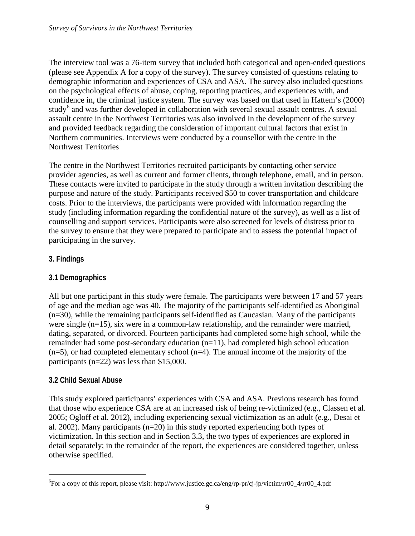The interview tool was a 76-item survey that included both categorical and open-ended questions (please see Appendix A for a copy of the survey). The survey consisted of questions relating to demographic information and experiences of CSA and ASA. The survey also included questions on the psychological effects of abuse, coping, reporting practices, and experiences with, and confidence in, the criminal justice system. The survey was based on that used in Hattem's (2000) study<sup>[6](#page-9-0)</sup> and was further developed in collaboration with several sexual assault centres. A sexual assault centre in the Northwest Territories was also involved in the development of the survey and provided feedback regarding the consideration of important cultural factors that exist in Northern communities. Interviews were conducted by a counsellor with the centre in the Northwest Territories

The centre in the Northwest Territories recruited participants by contacting other service provider agencies, as well as current and former clients, through telephone, email, and in person. These contacts were invited to participate in the study through a written invitation describing the purpose and nature of the study. Participants received \$50 to cover transportation and childcare costs. Prior to the interviews, the participants were provided with information regarding the study (including information regarding the confidential nature of the survey), as well as a list of counselling and support services. Participants were also screened for levels of distress prior to the survey to ensure that they were prepared to participate and to assess the potential impact of participating in the survey.

# **3. Findings**

# **3.1 Demographics**

All but one participant in this study were female. The participants were between 17 and 57 years of age and the median age was 40. The majority of the participants self-identified as Aboriginal (n=30), while the remaining participants self-identified as Caucasian. Many of the participants were single (n=15), six were in a common-law relationship, and the remainder were married, dating, separated, or divorced. Fourteen participants had completed some high school, while the remainder had some post-secondary education (n=11), had completed high school education  $(n=5)$ , or had completed elementary school  $(n=4)$ . The annual income of the majority of the participants (n=22) was less than \$15,000.

# **3.2 Child Sexual Abuse**

This study explored participants' experiences with CSA and ASA. Previous research has found that those who experience CSA are at an increased risk of being re-victimized (e.g., Classen et al. 2005; Ogloff et al. 2012), including experiencing sexual victimization as an adult (e.g., Desai et al. 2002). Many participants (n=20) in this study reported experiencing both types of victimization. In this section and in Section 3.3, the two types of experiences are explored in detail separately; in the remainder of the report, the experiences are considered together, unless otherwise specified.

<span id="page-9-0"></span> <sup>6</sup> For a copy of this report, please visit: http://www.justice.gc.ca/eng/rp-pr/cj-jp/victim/rr00\_4/rr00\_4.pdf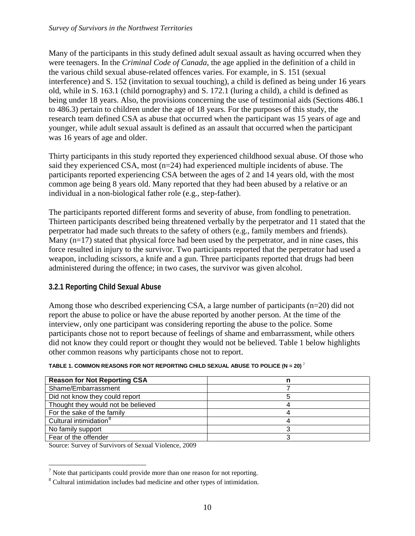Many of the participants in this study defined adult sexual assault as having occurred when they were teenagers. In the *Criminal Code of Canada*, the age applied in the definition of a child in the various child sexual abuse-related offences varies. For example, in S. 151 (sexual interference) and S. 152 (invitation to sexual touching), a child is defined as being under 16 years old, while in S. 163.1 (child pornography) and S. 172.1 (luring a child), a child is defined as being under 18 years. Also, the provisions concerning the use of testimonial aids (Sections 486.1 to 486.3) pertain to children under the age of 18 years. For the purposes of this study, the research team defined CSA as abuse that occurred when the participant was 15 years of age and younger, while adult sexual assault is defined as an assault that occurred when the participant was 16 years of age and older.

Thirty participants in this study reported they experienced childhood sexual abuse. Of those who said they experienced CSA, most (n=24) had experienced multiple incidents of abuse. The participants reported experiencing CSA between the ages of 2 and 14 years old, with the most common age being 8 years old. Many reported that they had been abused by a relative or an individual in a non-biological father role (e.g., step-father).

The participants reported different forms and severity of abuse, from fondling to penetration. Thirteen participants described being threatened verbally by the perpetrator and 11 stated that the perpetrator had made such threats to the safety of others (e.g., family members and friends). Many  $(n=17)$  stated that physical force had been used by the perpetrator, and in nine cases, this force resulted in injury to the survivor. Two participants reported that the perpetrator had used a weapon, including scissors, a knife and a gun. Three participants reported that drugs had been administered during the offence; in two cases, the survivor was given alcohol.

## **3.2.1 Reporting Child Sexual Abuse**

Among those who described experiencing CSA, a large number of participants (n=20) did not report the abuse to police or have the abuse reported by another person. At the time of the interview, only one participant was considering reporting the abuse to the police. Some participants chose not to report because of feelings of shame and embarrassment, while others did not know they could report or thought they would not be believed. Table 1 below highlights other common reasons why participants chose not to report.

| <b>Reason for Not Reporting CSA</b> |  |
|-------------------------------------|--|
| Shame/Embarrassment                 |  |
| Did not know they could report      |  |
| Thought they would not be believed  |  |
| For the sake of the family          |  |
| Cultural intimidation <sup>8</sup>  |  |
| No family support                   |  |
| Fear of the offender                |  |

#### <span id="page-10-0"></span>**TABLE 1. COMMON REASONS FOR NOT REPORTING CHILD SEXUAL ABUSE TO POLICE (N = 20)** [7](#page-10-1)

Source: Survey of Survivors of Sexual Violence, 2009

<span id="page-10-1"></span> <sup>7</sup> Note that participants could provide more than one reason for not reporting.

<span id="page-10-2"></span><sup>8</sup> Cultural intimidation includes bad medicine and other types of intimidation.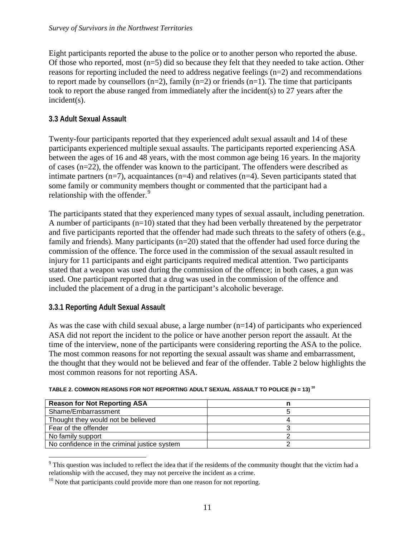Eight participants reported the abuse to the police or to another person who reported the abuse. Of those who reported, most  $(n=5)$  did so because they felt that they needed to take action. Other reasons for reporting included the need to address negative feelings (n=2) and recommendations to report made by counsellors  $(n=2)$ , family  $(n=2)$  or friends  $(n=1)$ . The time that participants took to report the abuse ranged from immediately after the incident(s) to 27 years after the incident(s).

#### **3.3 Adult Sexual Assault**

Twenty-four participants reported that they experienced adult sexual assault and 14 of these participants experienced multiple sexual assaults. The participants reported experiencing ASA between the ages of 16 and 48 years, with the most common age being 16 years. In the majority of cases (n=22), the offender was known to the participant. The offenders were described as intimate partners  $(n=7)$ , acquaintances  $(n=4)$  and relatives  $(n=4)$ . Seven participants stated that some family or community members thought or commented that the participant had a relationship with the offender.<sup>[9](#page-11-1)</sup>

The participants stated that they experienced many types of sexual assault, including penetration. A number of participants  $(n=10)$  stated that they had been verbally threatened by the perpetrator and five participants reported that the offender had made such threats to the safety of others (e.g., family and friends). Many participants (n=20) stated that the offender had used force during the commission of the offence. The force used in the commission of the sexual assault resulted in injury for 11 participants and eight participants required medical attention. Two participants stated that a weapon was used during the commission of the offence; in both cases, a gun was used. One participant reported that a drug was used in the commission of the offence and included the placement of a drug in the participant's alcoholic beverage.

#### **3.3.1 Reporting Adult Sexual Assault**

As was the case with child sexual abuse, a large number  $(n=14)$  of participants who experienced ASA did not report the incident to the police or have another person report the assault. At the time of the interview, none of the participants were considering reporting the ASA to the police. The most common reasons for not reporting the sexual assault was shame and embarrassment, the thought that they would not be believed and fear of the offender. Table 2 below highlights the most common reasons for not reporting ASA.

| <b>Reason for Not Reporting ASA</b>          |  |
|----------------------------------------------|--|
| Shame/Embarrassment                          |  |
| Thought they would not be believed           |  |
| Fear of the offender                         |  |
| No family support                            |  |
| No confidence in the criminal justice system |  |

<span id="page-11-0"></span>**TABLE 2. COMMON REASONS FOR NOT REPORTING ADULT SEXUAL ASSAULT TO POLICE (N = 13) [10](#page-11-2)**

<span id="page-11-1"></span> $9$  This question was included to reflect the idea that if the residents of the community thought that the victim had a relationship with the accused, they may not perceive the incident as a crime.

<span id="page-11-2"></span> $10$  Note that participants could provide more than one reason for not reporting.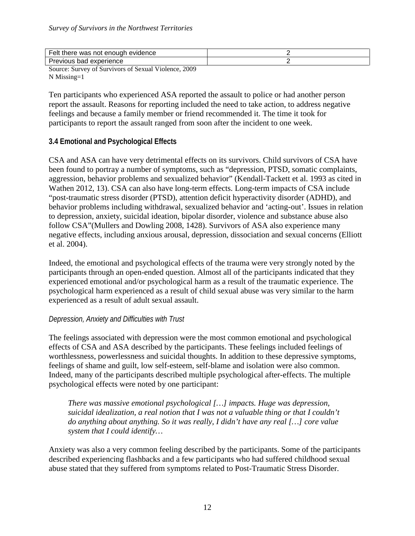| Felt<br>evidence<br>there<br>. enouar<br>not<br>was                        |  |
|----------------------------------------------------------------------------|--|
| experience<br>Previous<br>bad                                              |  |
| $\sim$ $\sim$ $\sim$<br>$\sim$ $\sim$<br>$\sim$ $\sim$<br>.<br>-<br>$\sim$ |  |

Source: Survey of Survivors of Sexual Violence, 2009 N Missing=1

Ten participants who experienced ASA reported the assault to police or had another person report the assault. Reasons for reporting included the need to take action, to address negative feelings and because a family member or friend recommended it. The time it took for participants to report the assault ranged from soon after the incident to one week.

#### **3.4 Emotional and Psychological Effects**

CSA and ASA can have very detrimental effects on its survivors. Child survivors of CSA have been found to portray a number of symptoms, such as "depression, PTSD, somatic complaints, aggression, behavior problems and sexualized behavior" (Kendall-Tackett et al. 1993 as cited in Wathen 2012, 13). CSA can also have long-term effects. Long-term impacts of CSA include "post-traumatic stress disorder (PTSD), attention deficit hyperactivity disorder (ADHD), and behavior problems including withdrawal, sexualized behavior and 'acting-out'. Issues in relation to depression, anxiety, suicidal ideation, bipolar disorder, violence and substance abuse also follow CSA"(Mullers and Dowling 2008, 1428). Survivors of ASA also experience many negative effects, including anxious arousal, depression, dissociation and sexual concerns (Elliott et al. 2004).

Indeed, the emotional and psychological effects of the trauma were very strongly noted by the participants through an open-ended question. Almost all of the participants indicated that they experienced emotional and/or psychological harm as a result of the traumatic experience. The psychological harm experienced as a result of child sexual abuse was very similar to the harm experienced as a result of adult sexual assault.

#### *Depression, Anxiety and Difficulties with Trust*

The feelings associated with depression were the most common emotional and psychological effects of CSA and ASA described by the participants. These feelings included feelings of worthlessness, powerlessness and suicidal thoughts. In addition to these depressive symptoms, feelings of shame and guilt, low self-esteem, self-blame and isolation were also common. Indeed, many of the participants described multiple psychological after-effects. The multiple psychological effects were noted by one participant:

*There was massive emotional psychological […] impacts. Huge was depression, suicidal idealization, a real notion that I was not a valuable thing or that I couldn't do anything about anything. So it was really, I didn't have any real […] core value system that I could identify…*

Anxiety was also a very common feeling described by the participants. Some of the participants described experiencing flashbacks and a few participants who had suffered childhood sexual abuse stated that they suffered from symptoms related to Post-Traumatic Stress Disorder.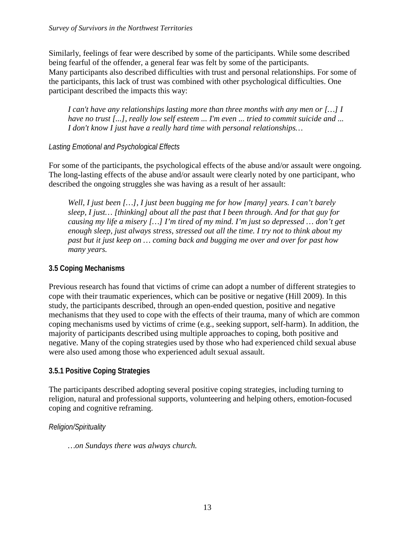Similarly, feelings of fear were described by some of the participants. While some described being fearful of the offender, a general fear was felt by some of the participants. Many participants also described difficulties with trust and personal relationships. For some of the participants, this lack of trust was combined with other psychological difficulties. One participant described the impacts this way:

*I can't have any relationships lasting more than three months with any men or […] I have no trust [...], really low self esteem ... I'm even ... tried to commit suicide and ... I don't know I just have a really hard time with personal relationships…*

# *Lasting Emotional and Psychological Effects*

For some of the participants, the psychological effects of the abuse and/or assault were ongoing. The long-lasting effects of the abuse and/or assault were clearly noted by one participant, who described the ongoing struggles she was having as a result of her assault:

*Well, I just been […], I just been bugging me for how [many] years. I can't barely sleep, I just… [thinking] about all the past that I been through. And for that guy for causing my life a misery […] I'm tired of my mind. I'm just so depressed … don't get enough sleep, just always stress, stressed out all the time. I try not to think about my past but it just keep on … coming back and bugging me over and over for past how many years.*

## **3.5 Coping Mechanisms**

Previous research has found that victims of crime can adopt a number of different strategies to cope with their traumatic experiences, which can be positive or negative (Hill 2009). In this study, the participants described, through an open-ended question, positive and negative mechanisms that they used to cope with the effects of their trauma, many of which are common coping mechanisms used by victims of crime (e.g., seeking support, self-harm). In addition, the majority of participants described using multiple approaches to coping, both positive and negative. Many of the coping strategies used by those who had experienced child sexual abuse were also used among those who experienced adult sexual assault.

# **3.5.1 Positive Coping Strategies**

The participants described adopting several positive coping strategies, including turning to religion, natural and professional supports, volunteering and helping others, emotion-focused coping and cognitive reframing.

## *Religion/Spirituality*

*…on Sundays there was always church.*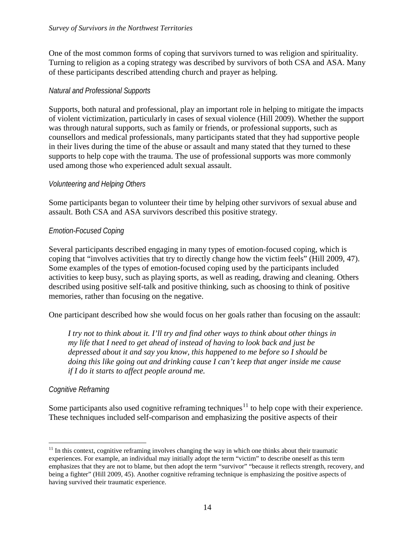One of the most common forms of coping that survivors turned to was religion and spirituality. Turning to religion as a coping strategy was described by survivors of both CSA and ASA. Many of these participants described attending church and prayer as helping.

#### *Natural and Professional Supports*

Supports, both natural and professional, play an important role in helping to mitigate the impacts of violent victimization, particularly in cases of sexual violence (Hill 2009). Whether the support was through natural supports, such as family or friends, or professional supports, such as counsellors and medical professionals, many participants stated that they had supportive people in their lives during the time of the abuse or assault and many stated that they turned to these supports to help cope with the trauma. The use of professional supports was more commonly used among those who experienced adult sexual assault.

#### *Volunteering and Helping Others*

Some participants began to volunteer their time by helping other survivors of sexual abuse and assault. Both CSA and ASA survivors described this positive strategy.

#### *Emotion-Focused Coping*

Several participants described engaging in many types of emotion-focused coping, which is coping that "involves activities that try to directly change how the victim feels" (Hill 2009, 47). Some examples of the types of emotion-focused coping used by the participants included activities to keep busy, such as playing sports, as well as reading, drawing and cleaning. Others described using positive self-talk and positive thinking, such as choosing to think of positive memories, rather than focusing on the negative.

One participant described how she would focus on her goals rather than focusing on the assault:

*I try not to think about it. I'll try and find other ways to think about other things in my life that I need to get ahead of instead of having to look back and just be depressed about it and say you know, this happened to me before so I should be doing this like going out and drinking cause I can't keep that anger inside me cause if I do it starts to affect people around me.*

#### *Cognitive Reframing*

Some participants also used cognitive reframing techniques $11$  to help cope with their experience. These techniques included self-comparison and emphasizing the positive aspects of their

<span id="page-14-0"></span> $11$  In this context, cognitive reframing involves changing the way in which one thinks about their traumatic experiences. For example, an individual may initially adopt the term "victim" to describe oneself as this term emphasizes that they are not to blame, but then adopt the term "survivor" "because it reflects strength, recovery, and being a fighter" (Hill 2009, 45). Another cognitive reframing technique is emphasizing the positive aspects of having survived their traumatic experience.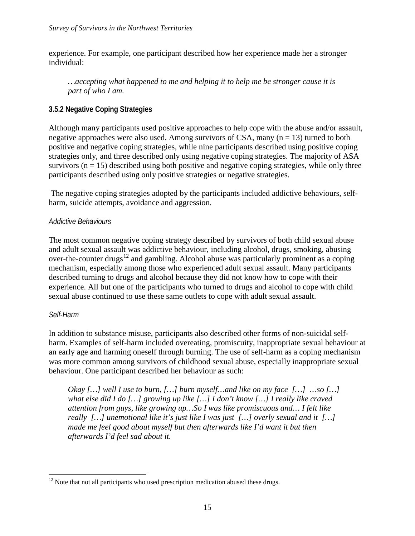experience. For example, one participant described how her experience made her a stronger individual:

*…accepting what happened to me and helping it to help me be stronger cause it is part of who I am.*

#### **3.5.2 Negative Coping Strategies**

Although many participants used positive approaches to help cope with the abuse and/or assault, negative approaches were also used. Among survivors of CSA, many  $(n = 13)$  turned to both positive and negative coping strategies, while nine participants described using positive coping strategies only, and three described only using negative coping strategies. The majority of ASA survivors  $(n = 15)$  described using both positive and negative coping strategies, while only three participants described using only positive strategies or negative strategies.

The negative coping strategies adopted by the participants included addictive behaviours, selfharm, suicide attempts, avoidance and aggression.

#### *Addictive Behaviours*

The most common negative coping strategy described by survivors of both child sexual abuse and adult sexual assault was addictive behaviour, including alcohol, drugs, smoking, abusing over-the-counter drugs<sup>[12](#page-15-0)</sup> and gambling. Alcohol abuse was particularly prominent as a coping mechanism, especially among those who experienced adult sexual assault. Many participants described turning to drugs and alcohol because they did not know how to cope with their experience. All but one of the participants who turned to drugs and alcohol to cope with child sexual abuse continued to use these same outlets to cope with adult sexual assault.

#### *Self-Harm*

In addition to substance misuse, participants also described other forms of non-suicidal selfharm. Examples of self-harm included overeating, promiscuity, inappropriate sexual behaviour at an early age and harming oneself through burning. The use of self-harm as a coping mechanism was more common among survivors of childhood sexual abuse, especially inappropriate sexual behaviour. One participant described her behaviour as such:

*Okay […] well I use to burn, […] burn myself…and like on my face […] …so […] what else did I do […] growing up like […] I don't know […] I really like craved attention from guys, like growing up…So I was like promiscuous and… I felt like really […] unemotional like it's just like I was just […] overly sexual and it […] made me feel good about myself but then afterwards like I'd want it but then afterwards I'd feel sad about it.*

<span id="page-15-0"></span> $12$  Note that not all participants who used prescription medication abused these drugs.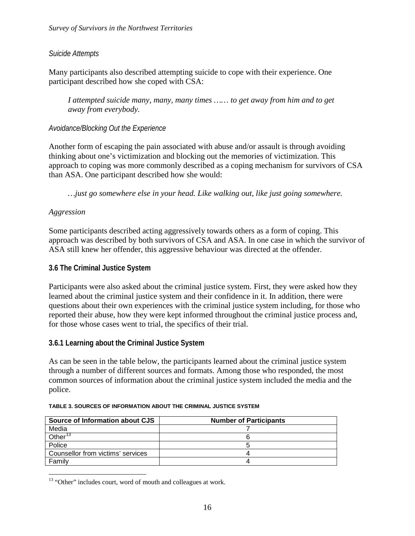#### *Suicide Attempts*

Many participants also described attempting suicide to cope with their experience. One participant described how she coped with CSA:

*I attempted suicide many, many, many times …… to get away from him and to get away from everybody.*

#### *Avoidance/Blocking Out the Experience*

Another form of escaping the pain associated with abuse and/or assault is through avoiding thinking about one's victimization and blocking out the memories of victimization. This approach to coping was more commonly described as a coping mechanism for survivors of CSA than ASA. One participant described how she would:

*…just go somewhere else in your head. Like walking out, like just going somewhere.*

#### *Aggression*

Some participants described acting aggressively towards others as a form of coping. This approach was described by both survivors of CSA and ASA. In one case in which the survivor of ASA still knew her offender, this aggressive behaviour was directed at the offender.

#### **3.6 The Criminal Justice System**

Participants were also asked about the criminal justice system. First, they were asked how they learned about the criminal justice system and their confidence in it. In addition, there were questions about their own experiences with the criminal justice system including, for those who reported their abuse, how they were kept informed throughout the criminal justice process and, for those whose cases went to trial, the specifics of their trial.

#### **3.6.1 Learning about the Criminal Justice System**

As can be seen in the table below, the participants learned about the criminal justice system through a number of different sources and formats. Among those who responded, the most common sources of information about the criminal justice system included the media and the police.

| Source of Information about CJS   | <b>Number of Participants</b> |
|-----------------------------------|-------------------------------|
| Media                             |                               |
| Other <sup>13</sup>               |                               |
| Police                            |                               |
| Counsellor from victims' services |                               |
| Family                            |                               |

#### <span id="page-16-0"></span>**TABLE 3. SOURCES OF INFORMATION ABOUT THE CRIMINAL JUSTICE SYSTEM**

<span id="page-16-1"></span><sup>&</sup>lt;sup>13</sup> "Other" includes court, word of mouth and colleagues at work.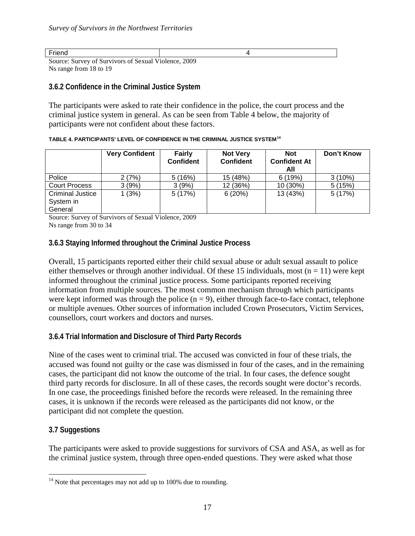Friend 4

Source: Survey of Survivors of Sexual Violence, 2009 Ns range from 18 to 19

#### **3.6.2 Confidence in the Criminal Justice System**

The participants were asked to rate their confidence in the police, the court process and the criminal justice system in general. As can be seen from Table 4 below, the majority of participants were not confident about these factors.

#### <span id="page-17-0"></span>**TABLE 4. PARTICIPANTS' LEVEL OF CONFIDENCE IN THE CRIMINAL JUSTICE SYSTEM[14](#page-17-1)**

|                                                 | <b>Very Confident</b> | <b>Fairly</b><br><b>Confident</b> | <b>Not Very</b><br><b>Confident</b> | <b>Not</b><br><b>Confident At</b><br>All | Don't Know |
|-------------------------------------------------|-----------------------|-----------------------------------|-------------------------------------|------------------------------------------|------------|
| Police                                          | 2 (7%)                | 5(16%)                            | 15 (48%)                            | 6(19%)                                   | 3(10%)     |
| <b>Court Process</b>                            | 3(9%)                 | 3(9%)                             | 12 (36%)                            | 10 (30%)                                 | 5(15%)     |
| <b>Criminal Justice</b><br>System in<br>General | 1(3%)                 | 5(17%)                            | 6(20%)                              | 13 (43%)                                 | 5(17%)     |

Source: Survey of Survivors of Sexual Violence, 2009 Ns range from 30 to 34

## **3.6.3 Staying Informed throughout the Criminal Justice Process**

Overall, 15 participants reported either their child sexual abuse or adult sexual assault to police either themselves or through another individual. Of these 15 individuals, most ( $n = 11$ ) were kept informed throughout the criminal justice process. Some participants reported receiving information from multiple sources. The most common mechanism through which participants were kept informed was through the police  $(n = 9)$ , either through face-to-face contact, telephone or multiple avenues. Other sources of information included Crown Prosecutors, Victim Services, counsellors, court workers and doctors and nurses.

#### **3.6.4 Trial Information and Disclosure of Third Party Records**

Nine of the cases went to criminal trial. The accused was convicted in four of these trials, the accused was found not guilty or the case was dismissed in four of the cases, and in the remaining cases, the participant did not know the outcome of the trial. In four cases, the defence sought third party records for disclosure. In all of these cases, the records sought were doctor's records. In one case, the proceedings finished before the records were released. In the remaining three cases, it is unknown if the records were released as the participants did not know, or the participant did not complete the question.

## **3.7 Suggestions**

The participants were asked to provide suggestions for survivors of CSA and ASA, as well as for the criminal justice system, through three open-ended questions. They were asked what those

<span id="page-17-1"></span> $14$  Note that percentages may not add up to 100% due to rounding.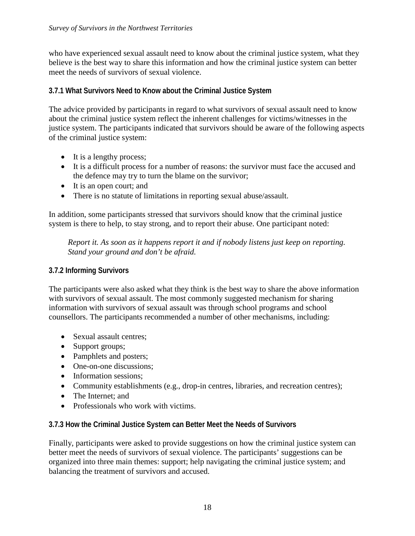who have experienced sexual assault need to know about the criminal justice system, what they believe is the best way to share this information and how the criminal justice system can better meet the needs of survivors of sexual violence.

## **3.7.1 What Survivors Need to Know about the Criminal Justice System**

The advice provided by participants in regard to what survivors of sexual assault need to know about the criminal justice system reflect the inherent challenges for victims/witnesses in the justice system. The participants indicated that survivors should be aware of the following aspects of the criminal justice system:

- It is a lengthy process;
- It is a difficult process for a number of reasons: the survivor must face the accused and the defence may try to turn the blame on the survivor;
- It is an open court; and
- There is no statute of limitations in reporting sexual abuse/assault.

In addition, some participants stressed that survivors should know that the criminal justice system is there to help, to stay strong, and to report their abuse. One participant noted:

*Report it. As soon as it happens report it and if nobody listens just keep on reporting. Stand your ground and don't be afraid.*

## **3.7.2 Informing Survivors**

The participants were also asked what they think is the best way to share the above information with survivors of sexual assault. The most commonly suggested mechanism for sharing information with survivors of sexual assault was through school programs and school counsellors. The participants recommended a number of other mechanisms, including:

- Sexual assault centres;
- Support groups;
- Pamphlets and posters;
- One-on-one discussions:
- Information sessions;
- Community establishments (e.g., drop-in centres, libraries, and recreation centres);
- The Internet: and
- Professionals who work with victims.

## **3.7.3 How the Criminal Justice System can Better Meet the Needs of Survivors**

Finally, participants were asked to provide suggestions on how the criminal justice system can better meet the needs of survivors of sexual violence. The participants' suggestions can be organized into three main themes: support; help navigating the criminal justice system; and balancing the treatment of survivors and accused.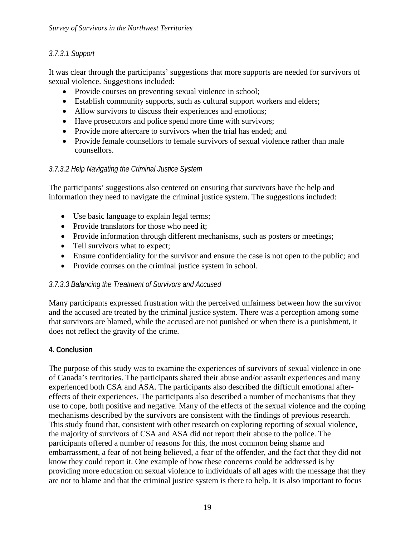## *3.7.3.1 Support*

It was clear through the participants' suggestions that more supports are needed for survivors of sexual violence. Suggestions included:

- Provide courses on preventing sexual violence in school;
- Establish community supports, such as cultural support workers and elders;
- Allow survivors to discuss their experiences and emotions;
- Have prosecutors and police spend more time with survivors;
- Provide more aftercare to survivors when the trial has ended; and
- Provide female counsellors to female survivors of sexual violence rather than male counsellors.

## *3.7.3.2 Help Navigating the Criminal Justice System*

The participants' suggestions also centered on ensuring that survivors have the help and information they need to navigate the criminal justice system. The suggestions included:

- Use basic language to explain legal terms;
- Provide translators for those who need it;
- Provide information through different mechanisms, such as posters or meetings;
- Tell survivors what to expect;
- Ensure confidentiality for the survivor and ensure the case is not open to the public; and
- Provide courses on the criminal justice system in school.

#### *3.7.3.3 Balancing the Treatment of Survivors and Accused*

Many participants expressed frustration with the perceived unfairness between how the survivor and the accused are treated by the criminal justice system. There was a perception among some that survivors are blamed, while the accused are not punished or when there is a punishment, it does not reflect the gravity of the crime.

## **4. Conclusion**

The purpose of this study was to examine the experiences of survivors of sexual violence in one of Canada's territories. The participants shared their abuse and/or assault experiences and many experienced both CSA and ASA. The participants also described the difficult emotional aftereffects of their experiences. The participants also described a number of mechanisms that they use to cope, both positive and negative. Many of the effects of the sexual violence and the coping mechanisms described by the survivors are consistent with the findings of previous research. This study found that, consistent with other research on exploring reporting of sexual violence, the majority of survivors of CSA and ASA did not report their abuse to the police. The participants offered a number of reasons for this, the most common being shame and embarrassment, a fear of not being believed, a fear of the offender, and the fact that they did not know they could report it. One example of how these concerns could be addressed is by providing more education on sexual violence to individuals of all ages with the message that they are not to blame and that the criminal justice system is there to help. It is also important to focus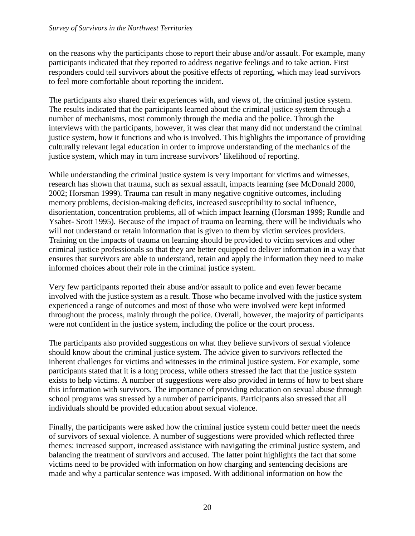on the reasons why the participants chose to report their abuse and/or assault. For example, many participants indicated that they reported to address negative feelings and to take action. First responders could tell survivors about the positive effects of reporting, which may lead survivors to feel more comfortable about reporting the incident.

The participants also shared their experiences with, and views of, the criminal justice system. The results indicated that the participants learned about the criminal justice system through a number of mechanisms, most commonly through the media and the police. Through the interviews with the participants, however, it was clear that many did not understand the criminal justice system, how it functions and who is involved. This highlights the importance of providing culturally relevant legal education in order to improve understanding of the mechanics of the justice system, which may in turn increase survivors' likelihood of reporting.

While understanding the criminal justice system is very important for victims and witnesses, research has shown that trauma, such as sexual assault, impacts learning (see McDonald 2000, 2002; Horsman 1999). Trauma can result in many negative cognitive outcomes, including memory problems, decision-making deficits, increased susceptibility to social influence, disorientation, concentration problems, all of which impact learning (Horsman 1999; Rundle and Ysabet- Scott 1995). Because of the impact of trauma on learning, there will be individuals who will not understand or retain information that is given to them by victim services providers. Training on the impacts of trauma on learning should be provided to victim services and other criminal justice professionals so that they are better equipped to deliver information in a way that ensures that survivors are able to understand, retain and apply the information they need to make informed choices about their role in the criminal justice system.

Very few participants reported their abuse and/or assault to police and even fewer became involved with the justice system as a result. Those who became involved with the justice system experienced a range of outcomes and most of those who were involved were kept informed throughout the process, mainly through the police. Overall, however, the majority of participants were not confident in the justice system, including the police or the court process.

The participants also provided suggestions on what they believe survivors of sexual violence should know about the criminal justice system. The advice given to survivors reflected the inherent challenges for victims and witnesses in the criminal justice system. For example, some participants stated that it is a long process, while others stressed the fact that the justice system exists to help victims. A number of suggestions were also provided in terms of how to best share this information with survivors. The importance of providing education on sexual abuse through school programs was stressed by a number of participants. Participants also stressed that all individuals should be provided education about sexual violence.

Finally, the participants were asked how the criminal justice system could better meet the needs of survivors of sexual violence. A number of suggestions were provided which reflected three themes: increased support, increased assistance with navigating the criminal justice system, and balancing the treatment of survivors and accused. The latter point highlights the fact that some victims need to be provided with information on how charging and sentencing decisions are made and why a particular sentence was imposed. With additional information on how the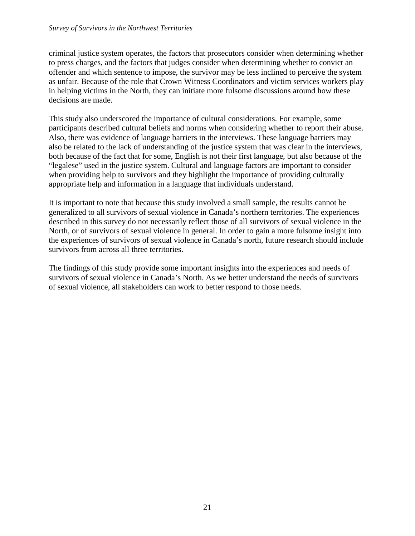#### *Survey of Survivors in the Northwest Territories*

criminal justice system operates, the factors that prosecutors consider when determining whether to press charges, and the factors that judges consider when determining whether to convict an offender and which sentence to impose, the survivor may be less inclined to perceive the system as unfair. Because of the role that Crown Witness Coordinators and victim services workers play in helping victims in the North, they can initiate more fulsome discussions around how these decisions are made.

This study also underscored the importance of cultural considerations. For example, some participants described cultural beliefs and norms when considering whether to report their abuse. Also, there was evidence of language barriers in the interviews. These language barriers may also be related to the lack of understanding of the justice system that was clear in the interviews, both because of the fact that for some, English is not their first language, but also because of the "legalese" used in the justice system. Cultural and language factors are important to consider when providing help to survivors and they highlight the importance of providing culturally appropriate help and information in a language that individuals understand.

It is important to note that because this study involved a small sample, the results cannot be generalized to all survivors of sexual violence in Canada's northern territories. The experiences described in this survey do not necessarily reflect those of all survivors of sexual violence in the North, or of survivors of sexual violence in general. In order to gain a more fulsome insight into the experiences of survivors of sexual violence in Canada's north, future research should include survivors from across all three territories.

The findings of this study provide some important insights into the experiences and needs of survivors of sexual violence in Canada's North. As we better understand the needs of survivors of sexual violence, all stakeholders can work to better respond to those needs.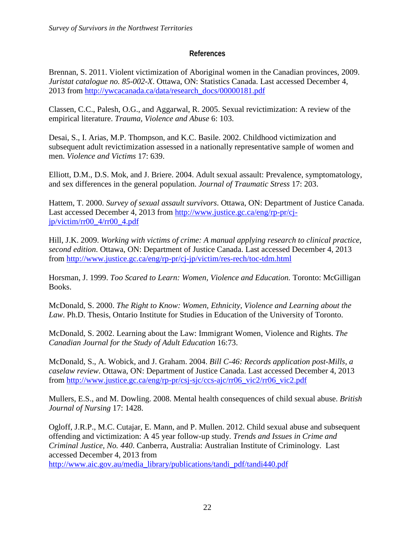#### **References**

Brennan, S. 2011. Violent victimization of Aboriginal women in the Canadian provinces, 2009. *Juristat catalogue no. 85-002-X*. Ottawa, ON: Statistics Canada. Last accessed December 4, 2013 from [http://ywcacanada.ca/data/research\\_docs/00000181.pdf](http://ywcacanada.ca/data/research_docs/00000181.pdf)

Classen, C.C., Palesh, O.G., and Aggarwal, R. 2005. Sexual revictimization: A review of the empirical literature. *Trauma, Violence and Abuse* 6: 103.

Desai, S., I. Arias, M.P. Thompson, and K.C. Basile. 2002. Childhood victimization and subsequent adult revictimization assessed in a nationally representative sample of women and men. *Violence and Victims* 17: 639.

Elliott, D.M., D.S. Mok, and J. Briere. 2004. Adult sexual assault: Prevalence, symptomatology, and sex differences in the general population. *Journal of Traumatic Stress* 17: 203.

Hattem, T. 2000. *Survey of sexual assault survivors*. Ottawa, ON: Department of Justice Canada. Last accessed December 4, 2013 from [http://www.justice.gc.ca/eng/rp-pr/cj](http://www.justice.gc.ca/eng/rp-pr/cj-jp/victim/rr00_4/rr00_4.pdf)[jp/victim/rr00\\_4/rr00\\_4.pdf](http://www.justice.gc.ca/eng/rp-pr/cj-jp/victim/rr00_4/rr00_4.pdf)

Hill, J.K. 2009. *Working with victims of crime: A manual applying research to clinical practice, second edition*. Ottawa, ON: Department of Justice Canada. Last accessed December 4, 2013 from<http://www.justice.gc.ca/eng/rp-pr/cj-jp/victim/res-rech/toc-tdm.html>

Horsman, J. 1999. *Too Scared to Learn: Women, Violence and Education.* Toronto: McGilligan Books.

McDonald, S. 2000. *The Right to Know: Women, Ethnicity, Violence and Learning about the Law*. Ph.D. Thesis, Ontario Institute for Studies in Education of the University of Toronto.

McDonald, S. 2002. Learning about the Law: Immigrant Women, Violence and Rights. *The Canadian Journal for the Study of Adult Education* 16:73.

McDonald, S., A. Wobick, and J. Graham. 2004. *Bill C-46: Records application post-Mills, a caselaw review*. Ottawa, ON: Department of Justice Canada. Last accessed December 4, 2013 from [http://www.justice.gc.ca/eng/rp-pr/csj-sjc/ccs-ajc/rr06\\_vic2/rr06\\_vic2.pdf](http://www.justice.gc.ca/eng/rp-pr/csj-sjc/ccs-ajc/rr06_vic2/rr06_vic2.pdf)

Mullers, E.S., and M. Dowling. 2008. Mental health consequences of child sexual abuse. *British Journal of Nursing* 17: 1428.

Ogloff, J.R.P., M.C. Cutajar, E. Mann, and P. Mullen. 2012. Child sexual abuse and subsequent offending and victimization: A 45 year follow-up study. *Trends and Issues in Crime and Criminal Justice, No. 440*. Canberra, Australia: Australian Institute of Criminology. Last accessed December 4, 2013 from

[http://www.aic.gov.au/media\\_library/publications/tandi\\_pdf/tandi440.pdf](http://www.aic.gov.au/media_library/publications/tandi_pdf/tandi440.pdf)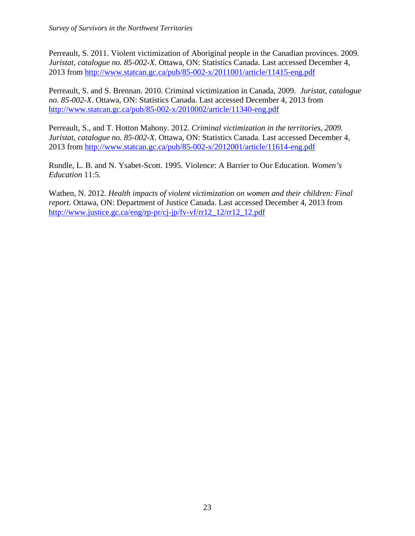Perreault, S. 2011. Violent victimization of Aboriginal people in the Canadian provinces. 2009. *Juristat, catalogue no. 85-002-X*. Ottawa, ON: Statistics Canada. Last accessed December 4, 2013 from<http://www.statcan.gc.ca/pub/85-002-x/2011001/article/11415-eng.pdf>

Perreault, S. and S. Brennan. 2010. Criminal victimization in Canada, 2009. *Juristat, catalogue no. 85-002-X*. Ottawa, ON: Statistics Canada. Last accessed December 4, 2013 from <http://www.statcan.gc.ca/pub/85-002-x/2010002/article/11340-eng.pdf>

Perreault, S., and T. Hotton Mahony. 2012. *Criminal victimization in the territories, 2009. Juristat, catalogue no. 85-002-X*. Ottawa, ON: Statistics Canada. Last accessed December 4, 2013 from <http://www.statcan.gc.ca/pub/85-002-x/2012001/article/11614-eng.pdf>

Rundle, L. B. and N. Ysabet-Scott. 1995. Violence: A Barrier to Our Education. *Women's Education* 11:5.

Wathen, N. 2012. *Health impacts of violent victimization on women and their children: Final report.* Ottawa, ON: Department of Justice Canada. Last accessed December 4, 2013 from [http://www.justice.gc.ca/eng/rp-pr/cj-jp/fv-vf/rr12\\_12/rr12\\_12.pdf](http://www.justice.gc.ca/eng/rp-pr/cj-jp/fv-vf/rr12_12/rr12_12.pdf)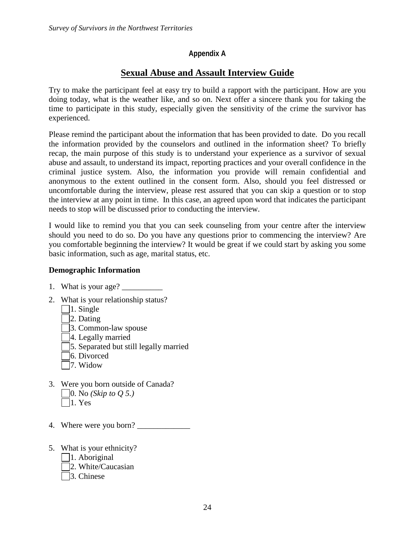#### **Appendix A**

# **Sexual Abuse and Assault Interview Guide**

Try to make the participant feel at easy try to build a rapport with the participant. How are you doing today, what is the weather like, and so on. Next offer a sincere thank you for taking the time to participate in this study, especially given the sensitivity of the crime the survivor has experienced.

Please remind the participant about the information that has been provided to date. Do you recall the information provided by the counselors and outlined in the information sheet? To briefly recap, the main purpose of this study is to understand your experience as a survivor of sexual abuse and assault, to understand its impact, reporting practices and your overall confidence in the criminal justice system. Also, the information you provide will remain confidential and anonymous to the extent outlined in the consent form. Also, should you feel distressed or uncomfortable during the interview, please rest assured that you can skip a question or to stop the interview at any point in time. In this case, an agreed upon word that indicates the participant needs to stop will be discussed prior to conducting the interview.

I would like to remind you that you can seek counseling from your centre after the interview should you need to do so. Do you have any questions prior to commencing the interview? Are you comfortable beginning the interview? It would be great if we could start by asking you some basic information, such as age, marital status, etc.

#### **Demographic Information**

- 1. What is your age?
- 2. What is your relationship status?
	- |  $|1.$  Single
	- 2. Dating
	- 3. Common-law spouse
	- 4. Legally married
	- 5. Separated but still legally married
	- 6. Divorced
	- 7. Widow
- 3. Were you born outside of Canada? 0. No *(Skip to Q 5.)*  $\Box$ 1. Yes
- 4. Where were you born?
- 5. What is your ethnicity?
	- $\Box$ 1. Aboriginal
	- 2. White/Caucasian
	- 3. Chinese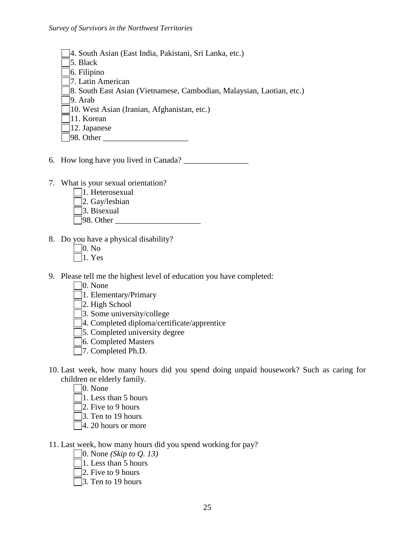- 4. South Asian (East India, Pakistani, Sri Lanka, etc.)
- 5. Black
- 6. Filipino
- 7. Latin American
- 8. South East Asian (Vietnamese, Cambodian, Malaysian, Laotian, etc.)

9. Arab

- 10. West Asian (Iranian, Afghanistan, etc.)
- 11. Korean
- 12. Japanese
- $\Box$ 98. Other
- 6. How long have you lived in Canada?
- 7. What is your sexual orientation?
	- 1. Heterosexual
	- 2. Gay/lesbian
	- 3. Bisexual
	- $\Box$ 98. Other
- 8. Do you have a physical disability?
	- $\Box$ 0. No
	- $\Box$ 1. Yes
- 9. Please tell me the highest level of education you have completed:
	- 0. None
	- 1. Elementary/Primary
	- 2. High School
	- 3. Some university/college
	- 4. Completed diploma/certificate/apprentice
	- 5. Completed university degree
	- 6. Completed Masters
	- 7. Completed Ph.D.
- 10. Last week, how many hours did you spend doing unpaid housework? Such as caring for children or elderly family.
	- $\Box$ 0. None
	- 1. Less than 5 hours
	- $\Box$ 2. Five to 9 hours
	- 3. Ten to 19 hours
	- $\Box$ 4. 20 hours or more
- 11. Last week, how many hours did you spend working for pay?
	- 0. None *(Skip to Q. 13)*
	- 1. Less than 5 hours
	- 2. Five to 9 hours
	- $\Box$ 3. Ten to 19 hours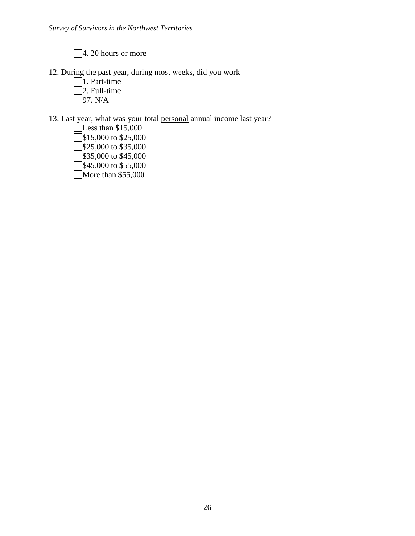□4. 20 hours or more

- 12. During the past year, during most weeks, did you work
	- $\Box$ 1. Part-time 2. Full-time  $\overline{\Box}$ 97. N/A

13. Last year, what was your total personal annual income last year?

 $\overline{\phantom{a}}$ Less than \$15,000  $\sqrt{\$15,000\}$$  to \$25,000  $\overline{3}$ \$25,000 to \$35,000  $\sqrt{\$35,000\}$$  to \$45,000  $\overline{3}$ \$45,000 to \$55,000 More than \$55,000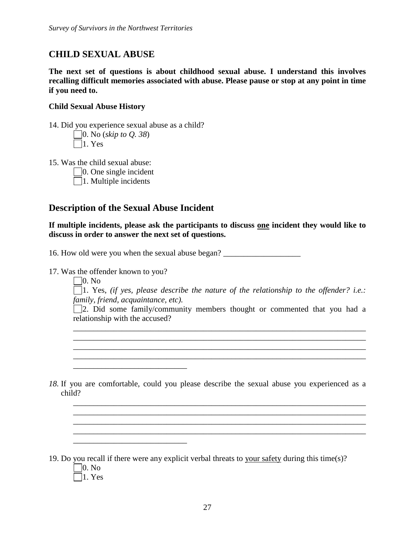# **CHILD SEXUAL ABUSE**

**The next set of questions is about childhood sexual abuse. I understand this involves recalling difficult memories associated with abuse. Please pause or stop at any point in time if you need to.**

#### **Child Sexual Abuse History**

14. Did you experience sexual abuse as a child? 0. No (*skip to Q. 38*)  $\Box$ 1. Yes

15. Was the child sexual abuse:

0. One single incident

 $\Box$ 1. Multiple incidents

# **Description of the Sexual Abuse Incident**

\_\_\_\_\_\_\_\_\_\_\_\_\_\_\_\_\_\_\_\_\_\_\_\_\_\_\_\_

\_\_\_\_\_\_\_\_\_\_\_\_\_\_\_\_\_\_\_\_\_\_\_\_\_\_\_\_

**If multiple incidents, please ask the participants to discuss one incident they would like to discuss in order to answer the next set of questions.**

16. How old were you when the sexual abuse began? \_\_\_\_\_\_\_\_\_\_\_\_\_\_\_\_\_\_\_\_\_\_\_\_\_\_\_\_\_\_\_

17. Was the offender known to you?

 $\Box$ 0. No

1. Yes, *(if yes, please describe the nature of the relationship to the offender? i.e.: family, friend, acquaintance, etc).*

2. Did some family/community members thought or commented that you had a relationship with the accused?

\_\_\_\_\_\_\_\_\_\_\_\_\_\_\_\_\_\_\_\_\_\_\_\_\_\_\_\_\_\_\_\_\_\_\_\_\_\_\_\_\_\_\_\_\_\_\_\_\_\_\_\_\_\_\_\_\_\_\_\_\_\_\_\_\_\_\_\_\_\_\_\_ \_\_\_\_\_\_\_\_\_\_\_\_\_\_\_\_\_\_\_\_\_\_\_\_\_\_\_\_\_\_\_\_\_\_\_\_\_\_\_\_\_\_\_\_\_\_\_\_\_\_\_\_\_\_\_\_\_\_\_\_\_\_\_\_\_\_\_\_\_\_\_\_

*18.* If you are comfortable, could you please describe the sexual abuse you experienced as a child?

\_\_\_\_\_\_\_\_\_\_\_\_\_\_\_\_\_\_\_\_\_\_\_\_\_\_\_\_\_\_\_\_\_\_\_\_\_\_\_\_\_\_\_\_\_\_\_\_\_\_\_\_\_\_\_\_\_\_\_\_\_\_\_\_\_\_\_\_\_\_\_\_ \_\_\_\_\_\_\_\_\_\_\_\_\_\_\_\_\_\_\_\_\_\_\_\_\_\_\_\_\_\_\_\_\_\_\_\_\_\_\_\_\_\_\_\_\_\_\_\_\_\_\_\_\_\_\_\_\_\_\_\_\_\_\_\_\_\_\_\_\_\_\_\_ \_\_\_\_\_\_\_\_\_\_\_\_\_\_\_\_\_\_\_\_\_\_\_\_\_\_\_\_\_\_\_\_\_\_\_\_\_\_\_\_\_\_\_\_\_\_\_\_\_\_\_\_\_\_\_\_\_\_\_\_\_\_\_\_\_\_\_\_\_\_\_\_  $\mathcal{L}_\mathcal{L} = \{ \mathcal{L}_\mathcal{L} = \{ \mathcal{L}_\mathcal{L} = \{ \mathcal{L}_\mathcal{L} = \{ \mathcal{L}_\mathcal{L} = \{ \mathcal{L}_\mathcal{L} = \{ \mathcal{L}_\mathcal{L} = \{ \mathcal{L}_\mathcal{L} = \{ \mathcal{L}_\mathcal{L} = \{ \mathcal{L}_\mathcal{L} = \{ \mathcal{L}_\mathcal{L} = \{ \mathcal{L}_\mathcal{L} = \{ \mathcal{L}_\mathcal{L} = \{ \mathcal{L}_\mathcal{L} = \{ \mathcal{L}_\mathcal{$ 

19. Do you recall if there were any explicit verbal threats to your safety during this time(s)? 0. No  $\Box$ 1. Yes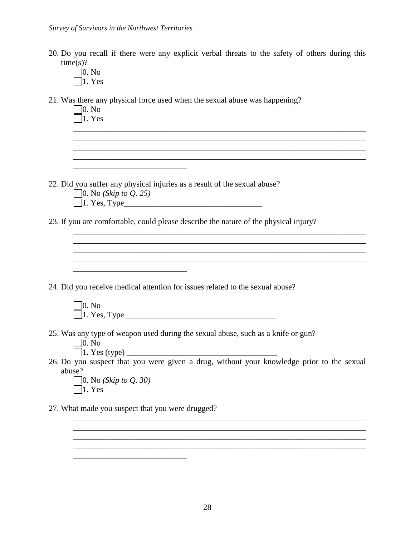20. Do you recall if there were any explicit verbal threats to the safety of others during this  $time(s)?$ 

\_\_\_\_\_\_\_\_\_\_\_\_\_\_\_\_\_\_\_\_\_\_\_\_\_\_\_\_\_\_\_\_\_\_\_\_\_\_\_\_\_\_\_\_\_\_\_\_\_\_\_\_\_\_\_\_\_\_\_\_\_\_\_\_\_\_\_\_\_\_\_\_ \_\_\_\_\_\_\_\_\_\_\_\_\_\_\_\_\_\_\_\_\_\_\_\_\_\_\_\_\_\_\_\_\_\_\_\_\_\_\_\_\_\_\_\_\_\_\_\_\_\_\_\_\_\_\_\_\_\_\_\_\_\_\_\_\_\_\_\_\_\_\_\_

 $\Box$ 0. No  $\Box$ 1. Yes

21. Was there any physical force used when the sexual abuse was happening?

0. No  $\overline{\Box}$ 1. Yes

22. Did you suffer any physical injuries as a result of the sexual abuse?

 $\frac{1}{2}$  , and the set of the set of the set of the set of the set of the set of the set of the set of the set of the set of the set of the set of the set of the set of the set of the set of the set of the set of the set

\_\_\_\_\_\_\_\_\_\_\_\_\_\_\_\_\_\_\_\_\_\_\_\_\_\_\_\_

| $\Box$ 0. No ( <i>Skip to Q. 25</i> )                                                                                                                        |
|--------------------------------------------------------------------------------------------------------------------------------------------------------------|
| $\overline{1}$ 1. Yes, Type                                                                                                                                  |
| 23. If you are comfortable, could please describe the nature of the physical injury?                                                                         |
|                                                                                                                                                              |
| 24. Did you receive medical attention for issues related to the sexual abuse?                                                                                |
| 0. N <sub>0</sub>  <br>$\Box$ 1. Yes, Type                                                                                                                   |
| 25. Was any type of weapon used during the sexual abuse, such as a knife or gun?<br> 0. N <sub>0</sub>                                                       |
| 26. Do you suspect that you were given a drug, without your knowledge prior to the sexual<br>abuse?<br>  0. No ( <i>Skip to Q. 30</i> )<br>$ 1. \text{Yes} $ |
| 27. What made you suspect that you were drugged?                                                                                                             |

\_\_\_\_\_\_\_\_\_\_\_\_\_\_\_\_\_\_\_\_\_\_\_\_\_\_\_\_\_\_\_\_\_\_\_\_\_\_\_\_\_\_\_\_\_\_\_\_\_\_\_\_\_\_\_\_\_\_\_\_\_\_\_\_\_\_\_\_\_\_\_\_ \_\_\_\_\_\_\_\_\_\_\_\_\_\_\_\_\_\_\_\_\_\_\_\_\_\_\_\_\_\_\_\_\_\_\_\_\_\_\_\_\_\_\_\_\_\_\_\_\_\_\_\_\_\_\_\_\_\_\_\_\_\_\_\_\_\_\_\_\_\_\_\_ \_\_\_\_\_\_\_\_\_\_\_\_\_\_\_\_\_\_\_\_\_\_\_\_\_\_\_\_\_\_\_\_\_\_\_\_\_\_\_\_\_\_\_\_\_\_\_\_\_\_\_\_\_\_\_\_\_\_\_\_\_\_\_\_\_\_\_\_\_\_\_\_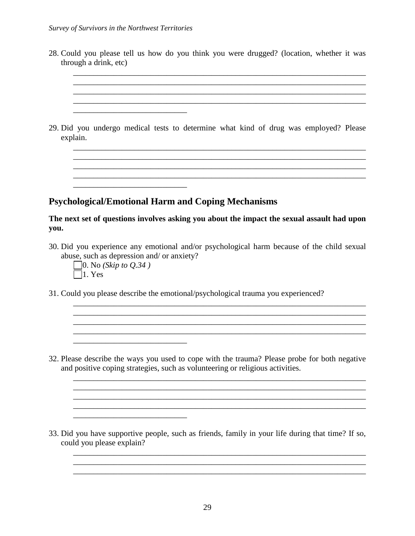\_\_\_\_\_\_\_\_\_\_\_\_\_\_\_\_\_\_\_\_\_\_\_\_\_\_\_\_

\_\_\_\_\_\_\_\_\_\_\_\_\_\_\_\_\_\_\_\_\_\_\_\_\_\_\_\_

| explain.                                                       | 29. Did you undergo medical tests to determine what kind of drug was employed? Please                                                                   |
|----------------------------------------------------------------|---------------------------------------------------------------------------------------------------------------------------------------------------------|
|                                                                |                                                                                                                                                         |
|                                                                | <b>Psychological/Emotional Harm and Coping Mechanisms</b><br>The next set of questions involves asking you about the impact the sexual assault had upon |
| you.<br>$\vert$ 0. No ( <i>Skip to Q.34</i> )<br>$\Box$ 1. Yes | 30. Did you experience any emotional and/or psychological harm because of the child sexual<br>abuse, such as depression and/ or anxiety?                |

32. Please describe the ways you used to cope with the trauma? Please probe for both negative and positive coping strategies, such as volunteering or religious activities.

 $\mathcal{L}_\text{max}$  , and the set of the set of the set of the set of the set of the set of the set of the set of the set of the set of the set of the set of the set of the set of the set of the set of the set of the set of the

 $\_$  . The contribution of the contribution of  $\mathcal{L}_1$  ,  $\mathcal{L}_2$  ,  $\mathcal{L}_3$  ,  $\mathcal{L}_4$  ,  $\mathcal{L}_5$  ,  $\mathcal{L}_6$  ,  $\mathcal{L}_7$  ,  $\mathcal{L}_8$  ,  $\mathcal{L}_9$  ,  $\mathcal{L}_9$  ,  $\mathcal{L}_1$  ,  $\mathcal{L}_2$  ,  $\mathcal{L}_3$  ,  $\mathcal{L}_5$  ,  $\mathcal{L}_$  $\_$  ,  $\_$  ,  $\_$  ,  $\_$  ,  $\_$  ,  $\_$  ,  $\_$  ,  $\_$  ,  $\_$  ,  $\_$  ,  $\_$  ,  $\_$  ,  $\_$  ,  $\_$  ,  $\_$  ,  $\_$  ,  $\_$  ,  $\_$  ,  $\_$  ,  $\_$  ,  $\_$  ,  $\_$  ,  $\_$  ,  $\_$  ,  $\_$  ,  $\_$  ,  $\_$  ,  $\_$  ,  $\_$  ,  $\_$  ,  $\_$  ,  $\_$  ,  $\_$  ,  $\_$  ,  $\_$  ,  $\_$  ,  $\_$  , \_\_\_\_\_\_\_\_\_\_\_\_\_\_\_\_\_\_\_\_\_\_\_\_\_\_\_\_\_\_\_\_\_\_\_\_\_\_\_\_\_\_\_\_\_\_\_\_\_\_\_\_\_\_\_\_\_\_\_\_\_\_\_\_\_\_\_\_\_\_\_\_

\_\_\_\_\_\_\_\_\_\_\_\_\_\_\_\_\_\_\_\_\_\_\_\_\_\_\_\_\_\_\_\_\_\_\_\_\_\_\_\_\_\_\_\_\_\_\_\_\_\_\_\_\_\_\_\_\_\_\_\_\_\_\_\_\_\_\_\_\_\_\_\_  $\mathcal{L}_\text{max}$  , and the set of the set of the set of the set of the set of the set of the set of the set of the set of the set of the set of the set of the set of the set of the set of the set of the set of the set of the \_\_\_\_\_\_\_\_\_\_\_\_\_\_\_\_\_\_\_\_\_\_\_\_\_\_\_\_\_\_\_\_\_\_\_\_\_\_\_\_\_\_\_\_\_\_\_\_\_\_\_\_\_\_\_\_\_\_\_\_\_\_\_\_\_\_\_\_\_\_\_\_

33. Did you have supportive people, such as friends, family in your life during that time? If so, could you please explain?

\_\_\_\_\_\_\_\_\_\_\_\_\_\_\_\_\_\_\_\_\_\_\_\_\_\_\_\_\_\_\_\_\_\_\_\_\_\_\_\_\_\_\_\_\_\_\_\_\_\_\_\_\_\_\_\_\_\_\_\_\_\_\_\_\_\_\_\_\_\_\_\_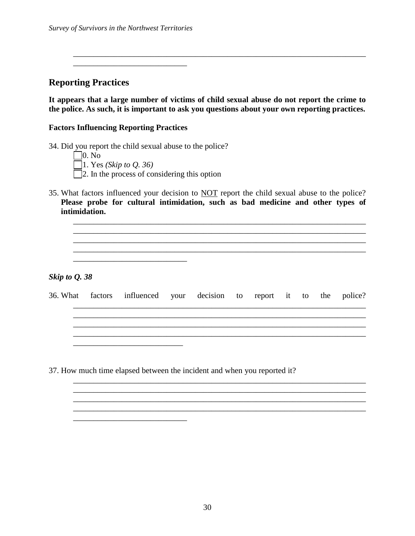\_\_\_\_\_\_\_\_\_\_\_\_\_\_\_\_\_\_\_\_\_\_\_\_\_\_\_\_

**Reporting Practices**

**It appears that a large number of victims of child sexual abuse do not report the crime to the police. As such, it is important to ask you questions about your own reporting practices.** 

\_\_\_\_\_\_\_\_\_\_\_\_\_\_\_\_\_\_\_\_\_\_\_\_\_\_\_\_\_\_\_\_\_\_\_\_\_\_\_\_\_\_\_\_\_\_\_\_\_\_\_\_\_\_\_\_\_\_\_\_\_\_\_\_\_\_\_\_\_\_\_\_

#### **Factors Influencing Reporting Practices**

34. Did you report the child sexual abuse to the police?

\_\_\_\_\_\_\_\_\_\_\_\_\_\_\_\_\_\_\_\_\_\_\_\_\_\_\_\_

\_\_\_\_\_\_\_\_\_\_\_\_\_\_\_\_\_\_\_\_\_\_\_\_\_\_\_\_

| $\Box$ 0. No                                        |  |
|-----------------------------------------------------|--|
| 1. Yes (Skip to Q. 36)                              |  |
| $\Box$ 2. In the process of considering this option |  |

35. What factors influenced your decision to NOT report the child sexual abuse to the police? **Please probe for cultural intimidation, such as bad medicine and other types of intimidation.**

\_\_\_\_\_\_\_\_\_\_\_\_\_\_\_\_\_\_\_\_\_\_\_\_\_\_\_\_\_\_\_\_\_\_\_\_\_\_\_\_\_\_\_\_\_\_\_\_\_\_\_\_\_\_\_\_\_\_\_\_\_\_\_\_\_\_\_\_\_\_\_\_ \_\_\_\_\_\_\_\_\_\_\_\_\_\_\_\_\_\_\_\_\_\_\_\_\_\_\_\_\_\_\_\_\_\_\_\_\_\_\_\_\_\_\_\_\_\_\_\_\_\_\_\_\_\_\_\_\_\_\_\_\_\_\_\_\_\_\_\_\_\_\_\_  $\mathcal{L}_\mathcal{L} = \{ \mathcal{L}_\mathcal{L} = \{ \mathcal{L}_\mathcal{L} = \{ \mathcal{L}_\mathcal{L} = \{ \mathcal{L}_\mathcal{L} = \{ \mathcal{L}_\mathcal{L} = \{ \mathcal{L}_\mathcal{L} = \{ \mathcal{L}_\mathcal{L} = \{ \mathcal{L}_\mathcal{L} = \{ \mathcal{L}_\mathcal{L} = \{ \mathcal{L}_\mathcal{L} = \{ \mathcal{L}_\mathcal{L} = \{ \mathcal{L}_\mathcal{L} = \{ \mathcal{L}_\mathcal{L} = \{ \mathcal{L}_\mathcal{$ 

*Skip to Q. 38*

36. What factors influenced your decision to report it to the police?

\_\_\_\_\_\_\_\_\_\_\_\_\_\_\_\_\_\_\_\_\_\_\_\_\_\_\_\_\_\_\_\_\_\_\_\_\_\_\_\_\_\_\_\_\_\_\_\_\_\_\_\_\_\_\_\_\_\_\_\_\_\_\_\_\_\_\_\_\_\_\_\_ \_\_\_\_\_\_\_\_\_\_\_\_\_\_\_\_\_\_\_\_\_\_\_\_\_\_\_\_\_\_\_\_\_\_\_\_\_\_\_\_\_\_\_\_\_\_\_\_\_\_\_\_\_\_\_\_\_\_\_\_\_\_\_\_\_\_\_\_\_\_\_\_ \_\_\_\_\_\_\_\_\_\_\_\_\_\_\_\_\_\_\_\_\_\_\_\_\_\_\_\_\_\_\_\_\_\_\_\_\_\_\_\_\_\_\_\_\_\_\_\_\_\_\_\_\_\_\_\_\_\_\_\_\_\_\_\_\_\_\_\_\_\_\_\_ \_\_\_\_\_\_\_\_\_\_\_\_\_\_\_\_\_\_\_\_\_\_\_\_\_\_\_\_\_\_\_\_\_\_\_\_\_\_\_\_\_\_\_\_\_\_\_\_\_\_\_\_\_\_\_\_\_\_\_\_\_\_\_\_\_\_\_\_\_\_\_\_

\_\_\_\_\_\_\_\_\_\_\_\_\_\_\_\_\_\_\_\_\_\_\_\_\_\_\_\_\_\_\_\_\_\_\_\_\_\_\_\_\_\_\_\_\_\_\_\_\_\_\_\_\_\_\_\_\_\_\_\_\_\_\_\_\_\_\_\_\_\_\_\_

\_\_\_\_\_\_\_\_\_\_\_\_\_\_\_\_\_\_\_\_\_\_\_\_\_\_\_\_\_\_\_\_\_\_\_\_\_\_\_\_\_\_\_\_\_\_\_\_\_\_\_\_\_\_\_\_\_\_\_\_\_\_\_\_\_\_\_\_\_\_\_\_ \_\_\_\_\_\_\_\_\_\_\_\_\_\_\_\_\_\_\_\_\_\_\_\_\_\_\_\_\_\_\_\_\_\_\_\_\_\_\_\_\_\_\_\_\_\_\_\_\_\_\_\_\_\_\_\_\_\_\_\_\_\_\_\_\_\_\_\_\_\_\_\_

37. How much time elapsed between the incident and when you reported it?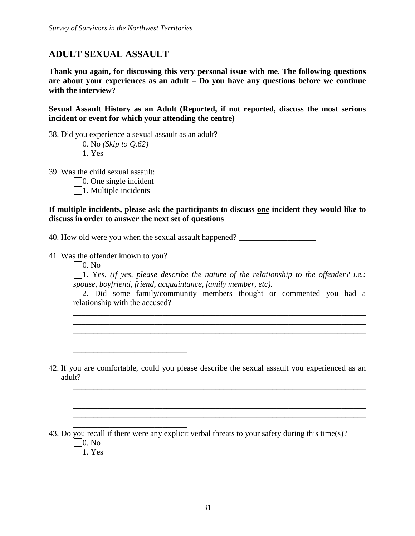# **ADULT SEXUAL ASSAULT**

**Thank you again, for discussing this very personal issue with me. The following questions are about your experiences as an adult – Do you have any questions before we continue with the interview?**

**Sexual Assault History as an Adult (Reported, if not reported, discuss the most serious incident or event for which your attending the centre)**

38. Did you experience a sexual assault as an adult?

0. No *(Skip to Q.62)*  $\Box$ 1. Yes

39. Was the child sexual assault:

 $\Box$ 0. One single incident

 $\Box$ 1. Multiple incidents

#### **If multiple incidents, please ask the participants to discuss one incident they would like to discuss in order to answer the next set of questions**

40. How old were you when the sexual assault happened? \_\_\_\_\_\_\_\_\_\_\_\_\_\_\_\_\_\_\_\_\_\_\_\_\_

41. Was the offender known to you?

\_\_\_\_\_\_\_\_\_\_\_\_\_\_\_\_\_\_\_\_\_\_\_\_\_\_\_\_

\_\_\_\_\_\_\_\_\_\_\_\_\_\_\_\_\_\_\_\_\_\_\_\_\_\_\_\_

 $\Box$ 0. No

1. Yes, *(if yes, please describe the nature of the relationship to the offender? i.e.: spouse, boyfriend, friend, acquaintance, family member, etc).*

2. Did some family/community members thought or commented you had a relationship with the accused?

\_\_\_\_\_\_\_\_\_\_\_\_\_\_\_\_\_\_\_\_\_\_\_\_\_\_\_\_\_\_\_\_\_\_\_\_\_\_\_\_\_\_\_\_\_\_\_\_\_\_\_\_\_\_\_\_\_\_\_\_\_\_\_\_\_\_\_\_\_\_\_\_ \_\_\_\_\_\_\_\_\_\_\_\_\_\_\_\_\_\_\_\_\_\_\_\_\_\_\_\_\_\_\_\_\_\_\_\_\_\_\_\_\_\_\_\_\_\_\_\_\_\_\_\_\_\_\_\_\_\_\_\_\_\_\_\_\_\_\_\_\_\_\_\_

\_\_\_\_\_\_\_\_\_\_\_\_\_\_\_\_\_\_\_\_\_\_\_\_\_\_\_\_\_\_\_\_\_\_\_\_\_\_\_\_\_\_\_\_\_\_\_\_\_\_\_\_\_\_\_\_\_\_\_\_\_\_\_\_\_\_\_\_\_\_\_\_

\_\_\_\_\_\_\_\_\_\_\_\_\_\_\_\_\_\_\_\_\_\_\_\_\_\_\_\_\_\_\_\_\_\_\_\_\_\_\_\_\_\_\_\_\_\_\_\_\_\_\_\_\_\_\_\_\_\_\_\_\_\_\_\_\_\_\_\_\_\_\_\_ \_\_\_\_\_\_\_\_\_\_\_\_\_\_\_\_\_\_\_\_\_\_\_\_\_\_\_\_\_\_\_\_\_\_\_\_\_\_\_\_\_\_\_\_\_\_\_\_\_\_\_\_\_\_\_\_\_\_\_\_\_\_\_\_\_\_\_\_\_\_\_\_ \_\_\_\_\_\_\_\_\_\_\_\_\_\_\_\_\_\_\_\_\_\_\_\_\_\_\_\_\_\_\_\_\_\_\_\_\_\_\_\_\_\_\_\_\_\_\_\_\_\_\_\_\_\_\_\_\_\_\_\_\_\_\_\_\_\_\_\_\_\_\_\_ \_\_\_\_\_\_\_\_\_\_\_\_\_\_\_\_\_\_\_\_\_\_\_\_\_\_\_\_\_\_\_\_\_\_\_\_\_\_\_\_\_\_\_\_\_\_\_\_\_\_\_\_\_\_\_\_\_\_\_\_\_\_\_\_\_\_\_\_\_\_\_\_

 $\mathcal{L}_\mathcal{L} = \{ \mathcal{L}_\mathcal{L} = \{ \mathcal{L}_\mathcal{L} = \{ \mathcal{L}_\mathcal{L} = \{ \mathcal{L}_\mathcal{L} = \{ \mathcal{L}_\mathcal{L} = \{ \mathcal{L}_\mathcal{L} = \{ \mathcal{L}_\mathcal{L} = \{ \mathcal{L}_\mathcal{L} = \{ \mathcal{L}_\mathcal{L} = \{ \mathcal{L}_\mathcal{L} = \{ \mathcal{L}_\mathcal{L} = \{ \mathcal{L}_\mathcal{L} = \{ \mathcal{L}_\mathcal{L} = \{ \mathcal{L}_\mathcal{$ 

42. If you are comfortable, could you please describe the sexual assault you experienced as an adult?

43. Do you recall if there were any explicit verbal threats to your safety during this time(s)?  $\square$ 0. No

 $\Box$ 1. Yes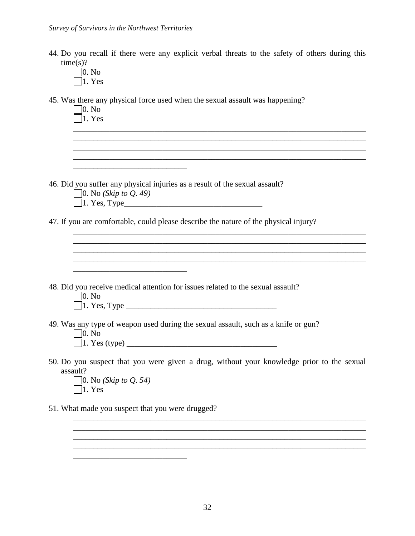| 44. Do you recall if there were any explicit verbal threats to the safety of others during this |  |  |  |  |  |  |  |  |
|-------------------------------------------------------------------------------------------------|--|--|--|--|--|--|--|--|
| time(s)?                                                                                        |  |  |  |  |  |  |  |  |

0. No 1. Yes

45. Was there any physical force used when the sexual assault was happening?

| 46. Did you suffer any physical injuries as a result of the sexual assault?<br>$\Box$ 0. No (Skip to Q. 49)<br>47. If you are comfortable, could please describe the nature of the physical injury?<br>48. Did you receive medical attention for issues related to the sexual assault?<br>$\Box$ 0. No<br>49. Was any type of weapon used during the sexual assault, such as a knife or gun?<br>$\neg$ 0. No<br>50. Do you suspect that you were given a drug, without your knowledge prior to the sexual<br>assault? | was there any physical force used when the sexual assault was happening.<br> 0. N <sub>0</sub><br>$\ln$ Yes |  |
|-----------------------------------------------------------------------------------------------------------------------------------------------------------------------------------------------------------------------------------------------------------------------------------------------------------------------------------------------------------------------------------------------------------------------------------------------------------------------------------------------------------------------|-------------------------------------------------------------------------------------------------------------|--|
|                                                                                                                                                                                                                                                                                                                                                                                                                                                                                                                       |                                                                                                             |  |
|                                                                                                                                                                                                                                                                                                                                                                                                                                                                                                                       |                                                                                                             |  |
|                                                                                                                                                                                                                                                                                                                                                                                                                                                                                                                       |                                                                                                             |  |
|                                                                                                                                                                                                                                                                                                                                                                                                                                                                                                                       |                                                                                                             |  |
|                                                                                                                                                                                                                                                                                                                                                                                                                                                                                                                       |                                                                                                             |  |
|                                                                                                                                                                                                                                                                                                                                                                                                                                                                                                                       |                                                                                                             |  |
|                                                                                                                                                                                                                                                                                                                                                                                                                                                                                                                       |                                                                                                             |  |
|                                                                                                                                                                                                                                                                                                                                                                                                                                                                                                                       |                                                                                                             |  |
|                                                                                                                                                                                                                                                                                                                                                                                                                                                                                                                       |                                                                                                             |  |
| $\Box$ 1. Yes                                                                                                                                                                                                                                                                                                                                                                                                                                                                                                         | $\Box$ 0. No (Skip to Q. 54)                                                                                |  |
| 51. What made you suspect that you were drugged?                                                                                                                                                                                                                                                                                                                                                                                                                                                                      |                                                                                                             |  |
|                                                                                                                                                                                                                                                                                                                                                                                                                                                                                                                       |                                                                                                             |  |

\_\_\_\_\_\_\_\_\_\_\_\_\_\_\_\_\_\_\_\_\_\_\_\_\_\_\_\_

\_\_\_\_\_\_\_\_\_\_\_\_\_\_\_\_\_\_\_\_\_\_\_\_\_\_\_\_\_\_\_\_\_\_\_\_\_\_\_\_\_\_\_\_\_\_\_\_\_\_\_\_\_\_\_\_\_\_\_\_\_\_\_\_\_\_\_\_\_\_\_\_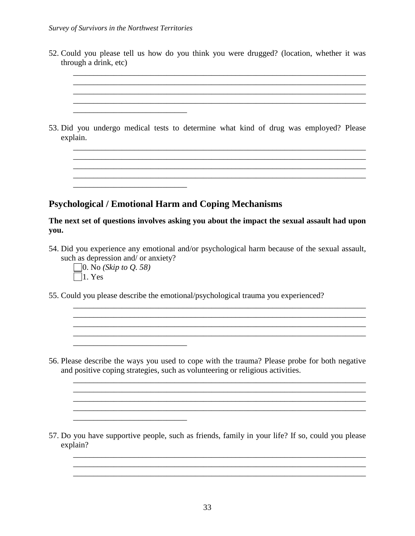| 52. Could you please tell us how do you think you were drugged? (location, whether it was<br>through a drink, etc)                                                                            |
|-----------------------------------------------------------------------------------------------------------------------------------------------------------------------------------------------|
|                                                                                                                                                                                               |
| 53. Did you undergo medical tests to determine what kind of drug was employed? Please                                                                                                         |
| explain.                                                                                                                                                                                      |
|                                                                                                                                                                                               |
| <b>Psychological / Emotional Harm and Coping Mechanisms</b>                                                                                                                                   |
| The next set of questions involves asking you about the impact the sexual assault had upon<br>you.                                                                                            |
| 54. Did you experience any emotional and/or psychological harm because of the sexual assault,<br>such as depression and/ or anxiety?<br>  0. No ( <i>Skip to Q. 58</i> )<br>$ 1. \text{Yes} $ |

55. Could you please describe the emotional/psychological trauma you experienced?

\_\_\_\_\_\_\_\_\_\_\_\_\_\_\_\_\_\_\_\_\_\_\_\_\_\_\_\_

 $\mathcal{L}_\text{max}$  and  $\mathcal{L}_\text{max}$  and  $\mathcal{L}_\text{max}$  and  $\mathcal{L}_\text{max}$ 

56. Please describe the ways you used to cope with the trauma? Please probe for both negative and positive coping strategies, such as volunteering or religious activities.

\_\_\_\_\_\_\_\_\_\_\_\_\_\_\_\_\_\_\_\_\_\_\_\_\_\_\_\_\_\_\_\_\_\_\_\_\_\_\_\_\_\_\_\_\_\_\_\_\_\_\_\_\_\_\_\_\_\_\_\_\_\_\_\_\_\_\_\_\_\_\_\_  $\overline{\phantom{a}}$  , and the set of the set of the set of the set of the set of the set of the set of the set of the set of the set of the set of the set of the set of the set of the set of the set of the set of the set of the s

\_\_\_\_\_\_\_\_\_\_\_\_\_\_\_\_\_\_\_\_\_\_\_\_\_\_\_\_\_\_\_\_\_\_\_\_\_\_\_\_\_\_\_\_\_\_\_\_\_\_\_\_\_\_\_\_\_\_\_\_\_\_\_\_\_\_\_\_\_\_\_\_

\_\_\_\_\_\_\_\_\_\_\_\_\_\_\_\_\_\_\_\_\_\_\_\_\_\_\_\_\_\_\_\_\_\_\_\_\_\_\_\_\_\_\_\_\_\_\_\_\_\_\_\_\_\_\_\_\_\_\_\_\_\_\_\_\_\_\_\_\_\_\_\_  $\mathcal{L}_\mathcal{L} = \mathcal{L}_\mathcal{L} = \mathcal{L}_\mathcal{L} = \mathcal{L}_\mathcal{L} = \mathcal{L}_\mathcal{L} = \mathcal{L}_\mathcal{L} = \mathcal{L}_\mathcal{L} = \mathcal{L}_\mathcal{L} = \mathcal{L}_\mathcal{L} = \mathcal{L}_\mathcal{L} = \mathcal{L}_\mathcal{L} = \mathcal{L}_\mathcal{L} = \mathcal{L}_\mathcal{L} = \mathcal{L}_\mathcal{L} = \mathcal{L}_\mathcal{L} = \mathcal{L}_\mathcal{L} = \mathcal{L}_\mathcal{L}$  $\mathcal{L}_\mathcal{L} = \{ \mathcal{L}_\mathcal{L} = \{ \mathcal{L}_\mathcal{L} = \{ \mathcal{L}_\mathcal{L} = \{ \mathcal{L}_\mathcal{L} = \{ \mathcal{L}_\mathcal{L} = \{ \mathcal{L}_\mathcal{L} = \{ \mathcal{L}_\mathcal{L} = \{ \mathcal{L}_\mathcal{L} = \{ \mathcal{L}_\mathcal{L} = \{ \mathcal{L}_\mathcal{L} = \{ \mathcal{L}_\mathcal{L} = \{ \mathcal{L}_\mathcal{L} = \{ \mathcal{L}_\mathcal{L} = \{ \mathcal{L}_\mathcal{$  $\_$  , and the set of the set of the set of the set of the set of the set of the set of the set of the set of the set of the set of the set of the set of the set of the set of the set of the set of the set of the set of th

57. Do you have supportive people, such as friends, family in your life? If so, could you please explain?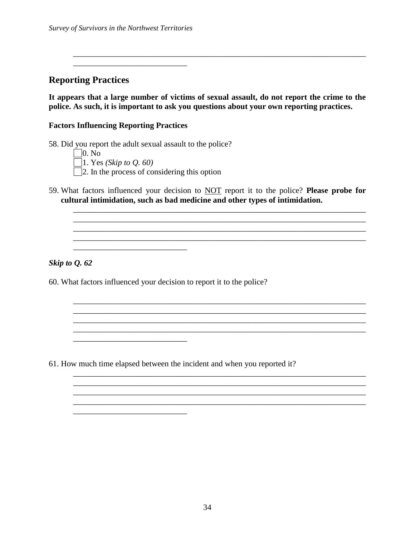\_\_\_\_\_\_\_\_\_\_\_\_\_\_\_\_\_\_\_\_\_\_\_\_\_\_\_\_

**Reporting Practices**

**It appears that a large number of victims of sexual assault, do not report the crime to the police. As such, it is important to ask you questions about your own reporting practices.** 

\_\_\_\_\_\_\_\_\_\_\_\_\_\_\_\_\_\_\_\_\_\_\_\_\_\_\_\_\_\_\_\_\_\_\_\_\_\_\_\_\_\_\_\_\_\_\_\_\_\_\_\_\_\_\_\_\_\_\_\_\_\_\_\_\_\_\_\_\_\_\_\_

#### **Factors Influencing Reporting Practices**

58. Did you report the adult sexual assault to the police?  $\Box$ 0. No 1. Yes *(Skip to Q. 60)*

\_\_\_\_\_\_\_\_\_\_\_\_\_\_\_\_\_\_\_\_\_\_\_\_\_\_\_\_

 $\frac{1}{2}$  , and the set of the set of the set of the set of the set of the set of the set of the set of the set of the set of the set of the set of the set of the set of the set of the set of the set of the set of the set

\_\_\_\_\_\_\_\_\_\_\_\_\_\_\_\_\_\_\_\_\_\_\_\_\_\_\_\_

- $\Box$  2. In the process of considering this option
- 59. What factors influenced your decision to NOT report it to the police? **Please probe for cultural intimidation, such as bad medicine and other types of intimidation.**

\_\_\_\_\_\_\_\_\_\_\_\_\_\_\_\_\_\_\_\_\_\_\_\_\_\_\_\_\_\_\_\_\_\_\_\_\_\_\_\_\_\_\_\_\_\_\_\_\_\_\_\_\_\_\_\_\_\_\_\_\_\_\_\_\_\_\_\_\_\_\_\_ \_\_\_\_\_\_\_\_\_\_\_\_\_\_\_\_\_\_\_\_\_\_\_\_\_\_\_\_\_\_\_\_\_\_\_\_\_\_\_\_\_\_\_\_\_\_\_\_\_\_\_\_\_\_\_\_\_\_\_\_\_\_\_\_\_\_\_\_\_\_\_\_

\_\_\_\_\_\_\_\_\_\_\_\_\_\_\_\_\_\_\_\_\_\_\_\_\_\_\_\_\_\_\_\_\_\_\_\_\_\_\_\_\_\_\_\_\_\_\_\_\_\_\_\_\_\_\_\_\_\_\_\_\_\_\_\_\_\_\_\_\_\_\_\_

\_\_\_\_\_\_\_\_\_\_\_\_\_\_\_\_\_\_\_\_\_\_\_\_\_\_\_\_\_\_\_\_\_\_\_\_\_\_\_\_\_\_\_\_\_\_\_\_\_\_\_\_\_\_\_\_\_\_\_\_\_\_\_\_\_\_\_\_\_\_\_\_  $\mathcal{L}_\mathcal{L} = \{ \mathcal{L}_1, \mathcal{L}_2, \ldots, \mathcal{L}_N, \mathcal{L}_N, \mathcal{L}_N, \mathcal{L}_N, \mathcal{L}_N, \mathcal{L}_N, \mathcal{L}_N, \mathcal{L}_N, \mathcal{L}_N, \mathcal{L}_N, \mathcal{L}_N, \mathcal{L}_N, \mathcal{L}_N, \mathcal{L}_N, \mathcal{L}_N, \mathcal{L}_N, \mathcal{L}_N, \mathcal{L}_N, \mathcal{L}_N, \mathcal{L}_N, \mathcal{L}_N, \mathcal{L}_N, \mathcal{L}_N, \$ 

\_\_\_\_\_\_\_\_\_\_\_\_\_\_\_\_\_\_\_\_\_\_\_\_\_\_\_\_\_\_\_\_\_\_\_\_\_\_\_\_\_\_\_\_\_\_\_\_\_\_\_\_\_\_\_\_\_\_\_\_\_\_\_\_\_\_\_\_\_\_\_\_

\_\_\_\_\_\_\_\_\_\_\_\_\_\_\_\_\_\_\_\_\_\_\_\_\_\_\_\_\_\_\_\_\_\_\_\_\_\_\_\_\_\_\_\_\_\_\_\_\_\_\_\_\_\_\_\_\_\_\_\_\_\_\_\_\_\_\_\_\_\_\_\_

\_\_\_\_\_\_\_\_\_\_\_\_\_\_\_\_\_\_\_\_\_\_\_\_\_\_\_\_\_\_\_\_\_\_\_\_\_\_\_\_\_\_\_\_\_\_\_\_\_\_\_\_\_\_\_\_\_\_\_\_\_\_\_\_\_\_\_\_\_\_\_\_

*Skip to Q. 62*

60. What factors influenced your decision to report it to the police?

61. How much time elapsed between the incident and when you reported it?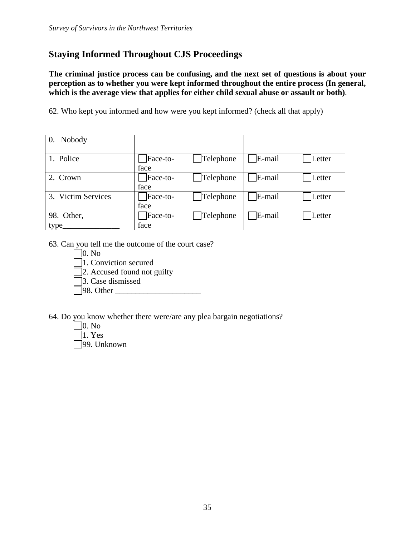# **Staying Informed Throughout CJS Proceedings**

**The criminal justice process can be confusing, and the next set of questions is about your perception as to whether you were kept informed throughout the entire process (In general, which is the average view that applies for either child sexual abuse or assault or both)**.

62. Who kept you informed and how were you kept informed? (check all that apply)

| 0. Nobody          |                  |           |        |        |
|--------------------|------------------|-----------|--------|--------|
| 1. Police          | Face-to-<br>face | Telephone | E-mail | Letter |
| 2. Crown           | Face-to-<br>face | Telephone | E-mail | Letter |
| 3. Victim Services | Face-to-<br>face | Telephone | E-mail | Letter |
| 98. Other,         | Face-to-         | Telephone | E-mail | Letter |
| type_              | face             |           |        |        |

- 63. Can you tell me the outcome of the court case?
	- $\Box$ 0. No
	- 1. Conviction secured

2. Accused found not guilty

3. Case dismissed

 $\Box$ 98. Other

64. Do you know whether there were/are any plea bargain negotiations?

0. No  $\lceil 1. \text{Yes} \rceil$ 

99. Unknown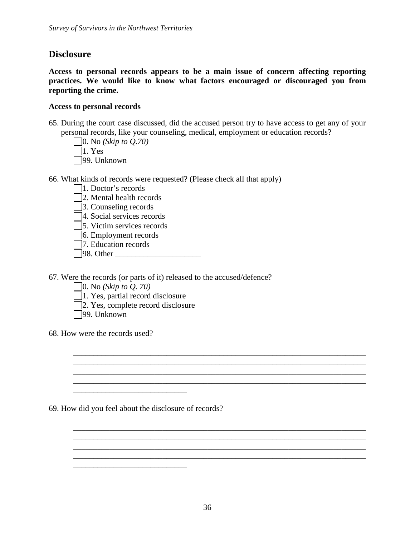## **Disclosure**

**Access to personal records appears to be a main issue of concern affecting reporting practices. We would like to know what factors encouraged or discouraged you from reporting the crime.**

#### **Access to personal records**

- 65. During the court case discussed, did the accused person try to have access to get any of your personal records, like your counseling, medical, employment or education records?
	- 0. No *(Skip to Q.70)*  $\Box$ 1. Yes 99. Unknown
- 66. What kinds of records were requested? (Please check all that apply)
	- 1. Doctor's records
	- 2. Mental health records
	- 3. Counseling records
	- 4. Social services records
	- 5. Victim services records
	- 6. Employment records
	- 7. Education records
	- $\Box$ 98. Other

67. Were the records (or parts of it) released to the accused/defence?

- 0. No *(Skip to Q. 70)*
- $\Box$ 1. Yes, partial record disclosure
- 2. Yes, complete record disclosure
- 99. Unknown
- 68. How were the records used?

69. How did you feel about the disclosure of records?

\_\_\_\_\_\_\_\_\_\_\_\_\_\_\_\_\_\_\_\_\_\_\_\_\_\_\_\_

 $\frac{1}{2}$  ,  $\frac{1}{2}$  ,  $\frac{1}{2}$  ,  $\frac{1}{2}$  ,  $\frac{1}{2}$  ,  $\frac{1}{2}$  ,  $\frac{1}{2}$  ,  $\frac{1}{2}$  ,  $\frac{1}{2}$  ,  $\frac{1}{2}$  ,  $\frac{1}{2}$  ,  $\frac{1}{2}$  ,  $\frac{1}{2}$  ,  $\frac{1}{2}$  ,  $\frac{1}{2}$  ,  $\frac{1}{2}$  ,  $\frac{1}{2}$  ,  $\frac{1}{2}$  ,  $\frac{1$ 

 $\mathcal{L}_\mathcal{L} = \{ \mathcal{L}_1, \mathcal{L}_2, \ldots, \mathcal{L}_N, \mathcal{L}_N, \mathcal{L}_N, \mathcal{L}_N, \mathcal{L}_N, \mathcal{L}_N, \mathcal{L}_N, \mathcal{L}_N, \mathcal{L}_N, \mathcal{L}_N, \mathcal{L}_N, \mathcal{L}_N, \mathcal{L}_N, \mathcal{L}_N, \mathcal{L}_N, \mathcal{L}_N, \mathcal{L}_N, \mathcal{L}_N, \mathcal{L}_N, \mathcal{L}_N, \mathcal{L}_N, \mathcal{L}_N, \mathcal{L}_N, \$ 

\_\_\_\_\_\_\_\_\_\_\_\_\_\_\_\_\_\_\_\_\_\_\_\_\_\_\_\_\_\_\_\_\_\_\_\_\_\_\_\_\_\_\_\_\_\_\_\_\_\_\_\_\_\_\_\_\_\_\_\_\_\_\_\_\_\_\_\_\_\_\_\_ \_\_\_\_\_\_\_\_\_\_\_\_\_\_\_\_\_\_\_\_\_\_\_\_\_\_\_\_\_\_\_\_\_\_\_\_\_\_\_\_\_\_\_\_\_\_\_\_\_\_\_\_\_\_\_\_\_\_\_\_\_\_\_\_\_\_\_\_\_\_\_\_

\_\_\_\_\_\_\_\_\_\_\_\_\_\_\_\_\_\_\_\_\_\_\_\_\_\_\_\_\_\_\_\_\_\_\_\_\_\_\_\_\_\_\_\_\_\_\_\_\_\_\_\_\_\_\_\_\_\_\_\_\_\_\_\_\_\_\_\_\_\_\_\_ \_\_\_\_\_\_\_\_\_\_\_\_\_\_\_\_\_\_\_\_\_\_\_\_\_\_\_\_\_\_\_\_\_\_\_\_\_\_\_\_\_\_\_\_\_\_\_\_\_\_\_\_\_\_\_\_\_\_\_\_\_\_\_\_\_\_\_\_\_\_\_\_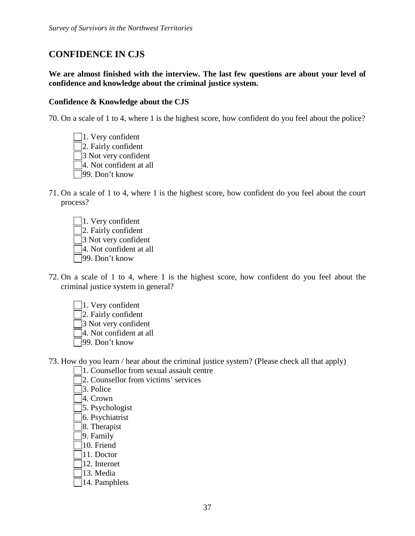# **CONFIDENCE IN CJS**

**We are almost finished with the interview. The last few questions are about your level of confidence and knowledge about the criminal justice system.**

#### **Confidence & Knowledge about the CJS**

70. On a scale of 1 to 4, where 1 is the highest score, how confident do you feel about the police?

- $\Box$ 1. Very confident 2. Fairly confident 3 Not very confident 4. Not confident at all 99. Don't know
- 71. On a scale of 1 to 4, where 1 is the highest score, how confident do you feel about the court process?
	- 1. Very confident 2. Fairly confident 3 Not very confident 4. Not confident at all 99. Don't know
- 72. On a scale of 1 to 4, where 1 is the highest score, how confident do you feel about the criminal justice system in general?
	- 1. Very confident
	- 2. Fairly confident
	- 3 Not very confident
	- 4. Not confident at all
	- 99. Don't know

73. How do you learn / hear about the criminal justice system? (Please check all that apply)

- 1. Counsellor from sexual assault centre
- 2. Counsellor from victims' services
- 3. Police
- 4. Crown
- 5. Psychologist
- 6. Psychiatrist
- 8. Therapist
- 9. Family
- 10. Friend
- 11. Doctor
- 12. Internet
- 13. Media
- 14. Pamphlets